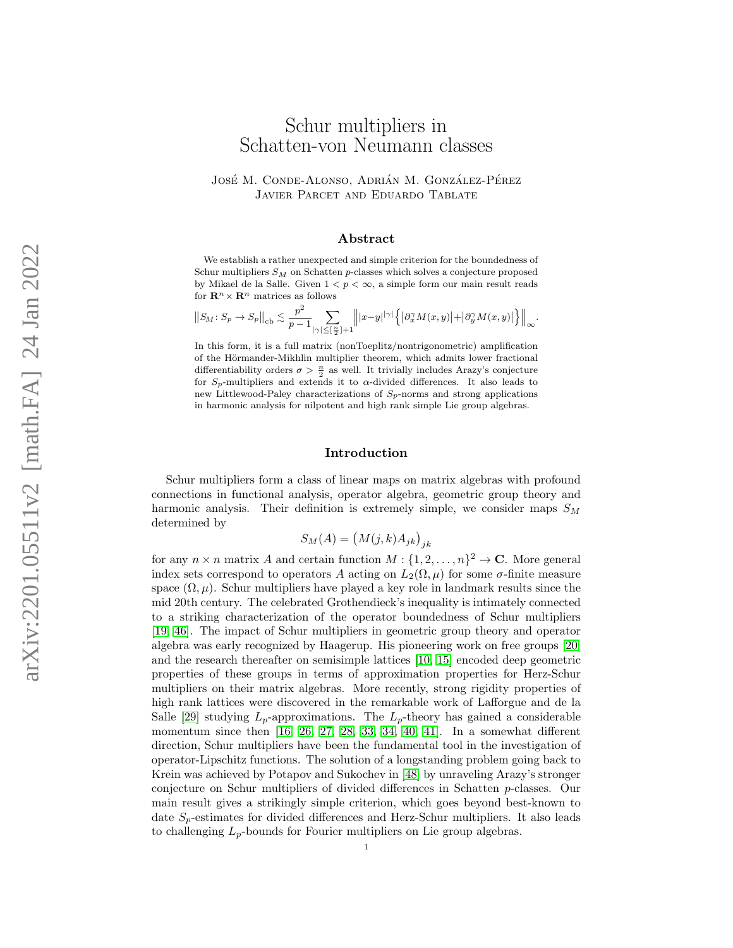# Schur multipliers in Schatten-von Neumann classes

# JOSÉ M. CONDE-ALONSO, ADRIÁN M. GONZÁLEZ-PÉREZ Javier Parcet and Eduardo Tablate

### Abstract

. We establish a rather unexpected and simple criterion for the boundedness of Schur multipliers  $S_M$  on Schatten p-classes which solves a conjecture proposed by Mikael de la Salle. Given  $1 < p < \infty$ , a simple form our main result reads for  $\mathbf{R}^n \times \mathbf{R}^n$  matrices as follows

$$
\big\|S_M\colon S_p\to S_p\big\|_{\mathrm{cb}}\lesssim \frac{p^2}{p-1}\underset{|\gamma|\leq [\frac{n}{2}]+1}{\sum}\Big\||x-y|^{|\gamma|}\Big\{\big|\partial_x^\gamma M(x,y)\big|+\big|\partial_y^\gamma M(x,y)\big|\Big\}\Big\|_\infty.
$$

In this form, it is a full matrix (nonToeplitz/nontrigonometric) amplification of the Hörmander-Mikhlin multiplier theorem, which admits lower fractional differentiability orders  $\sigma > \frac{n}{2}$  as well. It trivially includes Arazy's conjecture for  $S_p$ -multipliers and extends it to  $\alpha$ -divided differences. It also leads to new Littlewood-Paley characterizations of  $S_p$ -norms and strong applications in harmonic analysis for nilpotent and high rank simple Lie group algebras.

# Introduction

Schur multipliers form a class of linear maps on matrix algebras with profound connections in functional analysis, operator algebra, geometric group theory and harmonic analysis. Their definition is extremely simple, we consider maps  $S_M$ determined by

$$
S_M(A) = \left( M(j,k)A_{jk} \right)_{jk}
$$

for any  $n \times n$  matrix A and certain function  $M: \{1, 2, ..., n\}^2 \to \mathbb{C}$ . More general index sets correspond to operators A acting on  $L_2(\Omega, \mu)$  for some  $\sigma$ -finite measure space  $(\Omega, \mu)$ . Schur multipliers have played a key role in landmark results since the mid 20th century. The celebrated Grothendieck's inequality is intimately connected to a striking characterization of the operator boundedness of Schur multipliers [\[19,](#page-18-0) [46\]](#page-19-0). The impact of Schur multipliers in geometric group theory and operator algebra was early recognized by Haagerup. His pioneering work on free groups [\[20\]](#page-18-1) and the research thereafter on semisimple lattices [\[10,](#page-18-2) [15\]](#page-18-3) encoded deep geometric properties of these groups in terms of approximation properties for Herz-Schur multipliers on their matrix algebras. More recently, strong rigidity properties of high rank lattices were discovered in the remarkable work of Lafforgue and de la Salle [\[29\]](#page-18-4) studying  $L_p$ -approximations. The  $L_p$ -theory has gained a considerable momentum since then [\[16,](#page-18-5) [26,](#page-18-6) [27,](#page-18-7) [28,](#page-18-8) [33,](#page-19-1) [34,](#page-19-2) [40,](#page-19-3) [41\]](#page-19-4). In a somewhat different direction, Schur multipliers have been the fundamental tool in the investigation of operator-Lipschitz functions. The solution of a longstanding problem going back to Krein was achieved by Potapov and Sukochev in [\[48\]](#page-19-5) by unraveling Arazy's stronger conjecture on Schur multipliers of divided differences in Schatten p-classes. Our main result gives a strikingly simple criterion, which goes beyond best-known to date  $S_n$ -estimates for divided differences and Herz-Schur multipliers. It also leads to challenging  $L_p$ -bounds for Fourier multipliers on Lie group algebras.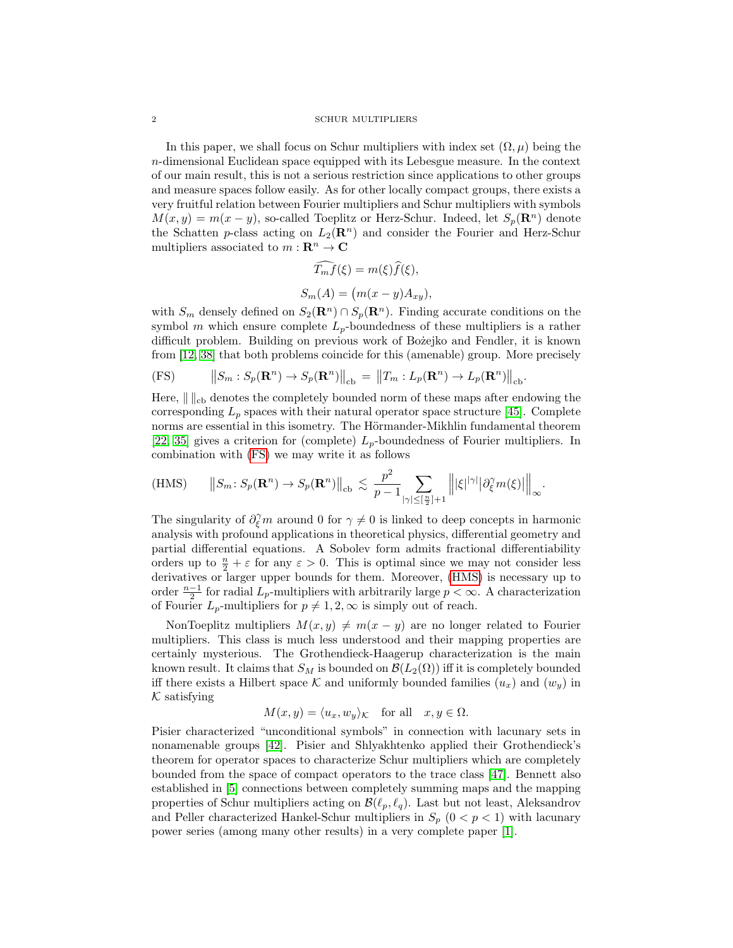In this paper, we shall focus on Schur multipliers with index set  $(\Omega, \mu)$  being the n-dimensional Euclidean space equipped with its Lebesgue measure. In the context of our main result, this is not a serious restriction since applications to other groups and measure spaces follow easily. As for other locally compact groups, there exists a very fruitful relation between Fourier multipliers and Schur multipliers with symbols  $M(x, y) = m(x - y)$ , so-called Toeplitz or Herz-Schur. Indeed, let  $S_p(\mathbf{R}^n)$  denote the Schatten p-class acting on  $L_2(\mathbf{R}^n)$  and consider the Fourier and Herz-Schur multipliers associated to  $m : \mathbf{R}^n \to \mathbf{C}$ 

$$
\widehat{T_m f}(\xi) = m(\xi)\widehat{f}(\xi),
$$
  

$$
S_m(A) = (m(x - y)A_{xy}),
$$

with  $S_m$  densely defined on  $S_2(\mathbf{R}^n) \cap S_p(\mathbf{R}^n)$ . Finding accurate conditions on the symbol m which ensure complete  $L_p$ -boundedness of these multipliers is a rather difficult problem. Building on previous work of Bozejko and Fendler, it is known from [\[12,](#page-18-9) [38\]](#page-19-6) that both problems coincide for this (amenable) group. More precisely

<span id="page-1-0"></span>
$$
\text{(FS)} \qquad \left\| S_m : S_p(\mathbf{R}^n) \to S_p(\mathbf{R}^n) \right\|_{\text{cb}} = \left\| T_m : L_p(\mathbf{R}^n) \to L_p(\mathbf{R}^n) \right\|_{\text{cb}}.
$$

Here,  $\| \cdot \|_{cb}$  denotes the completely bounded norm of these maps after endowing the corresponding  $L_p$  spaces with their natural operator space structure [\[45\]](#page-19-7). Complete norms are essential in this isometry. The Hörmander-Mikhlin fundamental theorem [\[22,](#page-18-10) [35\]](#page-19-8) gives a criterion for (complete)  $L_p$ -boundedness of Fourier multipliers. In combination with [\(FS\)](#page-1-0) we may write it as follows

<span id="page-1-1"></span>(HMS) 
$$
||S_m: S_p(\mathbf{R}^n) \to S_p(\mathbf{R}^n)||_{cb} \lesssim \frac{p^2}{p-1} \sum_{|\gamma| \leq [\frac{n}{2}]+1} ||\xi|^{|\gamma|} |\partial_{\xi}^{\gamma} m(\xi)||_{\infty}.
$$

The singularity of  $\partial_{\xi}^{\gamma} m$  around 0 for  $\gamma \neq 0$  is linked to deep concepts in harmonic analysis with profound applications in theoretical physics, differential geometry and partial differential equations. A Sobolev form admits fractional differentiability orders up to  $\frac{n}{2} + \varepsilon$  for any  $\varepsilon > 0$ . This is optimal since we may not consider less derivatives or larger upper bounds for them. Moreover, [\(HMS\)](#page-1-1) is necessary up to order  $\frac{n-1}{2}$  for radial  $L_p$ -multipliers with arbitrarily large  $p < \infty$ . A characterization of Fourier  $L_p$ -multipliers for  $p \neq 1, 2, \infty$  is simply out of reach.

NonToeplitz multipliers  $M(x, y) \neq m(x - y)$  are no longer related to Fourier multipliers. This class is much less understood and their mapping properties are certainly mysterious. The Grothendieck-Haagerup characterization is the main known result. It claims that  $S_M$  is bounded on  $\mathcal{B}(L_2(\Omega))$  iff it is completely bounded iff there exists a Hilbert space  $\mathcal K$  and uniformly bounded families  $(u_x)$  and  $(w_y)$  in  $K$  satisfying

$$
M(x, y) = \langle u_x, w_y \rangle_{\mathcal{K}}
$$
 for all  $x, y \in \Omega$ .

Pisier characterized "unconditional symbols" in connection with lacunary sets in nonamenable groups [\[42\]](#page-19-9). Pisier and Shlyakhtenko applied their Grothendieck's theorem for operator spaces to characterize Schur multipliers which are completely bounded from the space of compact operators to the trace class [\[47\]](#page-19-10). Bennett also established in [\[5\]](#page-18-11) connections between completely summing maps and the mapping properties of Schur multipliers acting on  $\mathcal{B}(\ell_p, \ell_q)$ . Last but not least, Aleksandrov and Peller characterized Hankel-Schur multipliers in  $S_p$  ( $0 < p < 1$ ) with lacunary power series (among many other results) in a very complete paper [\[1\]](#page-18-12).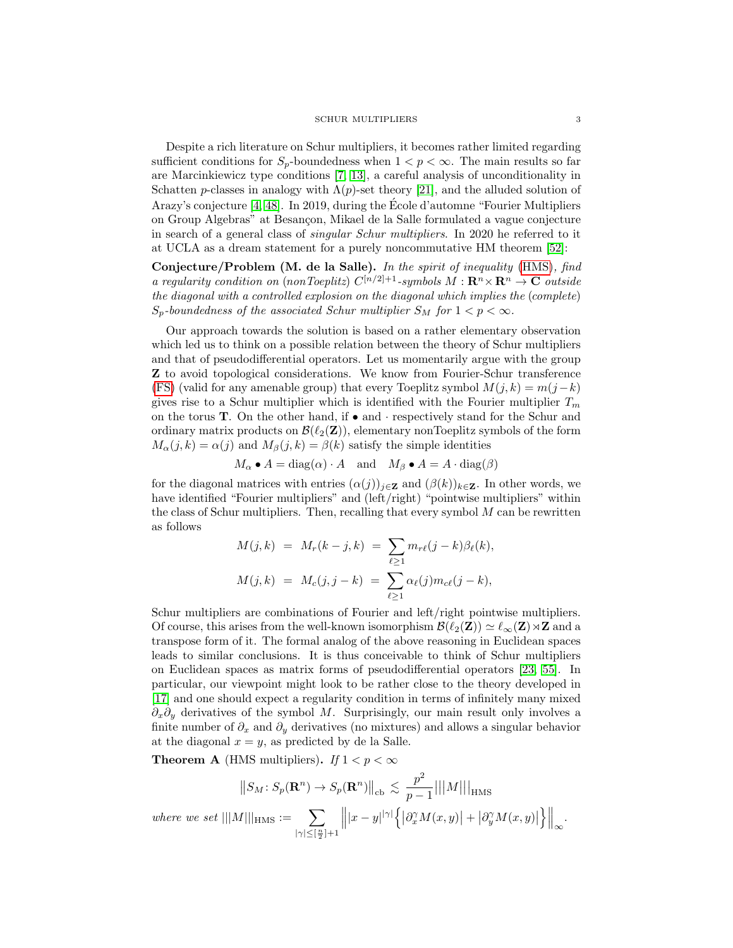Despite a rich literature on Schur multipliers, it becomes rather limited regarding sufficient conditions for  $S_p$ -boundedness when  $1 < p < \infty$ . The main results so far are Marcinkiewicz type conditions [\[7,](#page-18-13) [13\]](#page-18-14), a careful analysis of unconditionality in Schatten p-classes in analogy with  $\Lambda(p)$ -set theory [\[21\]](#page-18-15), and the alluded solution of Arazy's conjecture [\[4,](#page-18-16) [48\]](#page-19-5). In 2019, during the Ecole d'automne "Fourier Multipliers ´ on Group Algebras" at Besançon, Mikael de la Salle formulated a vague conjecture in search of a general class of singular Schur multipliers. In 2020 he referred to it at UCLA as a dream statement for a purely noncommutative HM theorem [\[52\]](#page-19-11):

Conjecture/Problem (M. de la Salle). In the spirit of inequality [\(HMS\)](#page-1-1), find a regularity condition on (nonToeplitz)  $C^{[n/2]+1}$ -symbols  $M: \mathbf{R}^n \times \mathbf{R}^n \to \mathbf{C}$  outside the diagonal with a controlled explosion on the diagonal which implies the (complete)  $S_p$ -boundedness of the associated Schur multiplier  $S_M$  for  $1 < p < \infty$ .

Our approach towards the solution is based on a rather elementary observation which led us to think on a possible relation between the theory of Schur multipliers and that of pseudodifferential operators. Let us momentarily argue with the group Z to avoid topological considerations. We know from Fourier-Schur transference [\(FS\)](#page-1-0) (valid for any amenable group) that every Toeplitz symbol  $M(j, k) = m(j - k)$ gives rise to a Schur multiplier which is identified with the Fourier multiplier  $T_m$ on the torus **T**. On the other hand, if  $\bullet$  and  $\cdot$  respectively stand for the Schur and ordinary matrix products on  $\mathcal{B}(\ell_2(\mathbf{Z}))$ , elementary nonToeplitz symbols of the form  $M_{\alpha}(j,k) = \alpha(j)$  and  $M_{\beta}(j,k) = \beta(k)$  satisfy the simple identities

 $M_{\alpha} \bullet A = \text{diag}(\alpha) \cdot A$  and  $M_{\beta} \bullet A = A \cdot \text{diag}(\beta)$ 

for the diagonal matrices with entries  $(\alpha(j))_{j\in\mathbf{Z}}$  and  $(\beta(k))_{k\in\mathbf{Z}}$ . In other words, we have identified "Fourier multipliers" and (left/right) "pointwise multipliers" within the class of Schur multipliers. Then, recalling that every symbol  $M$  can be rewritten as follows

$$
M(j,k) = M_r(k-j,k) = \sum_{\ell \ge 1} m_{r\ell}(j-k)\beta_{\ell}(k),
$$
  

$$
M(j,k) = M_c(j,j-k) = \sum_{\ell \ge 1} \alpha_{\ell}(j)m_{c\ell}(j-k),
$$

Schur multipliers are combinations of Fourier and left/right pointwise multipliers. Of course, this arises from the well-known isomorphism  $\mathcal{B}(\ell_2(\mathbf{Z})) \simeq \ell_{\infty}(\mathbf{Z}) \rtimes \mathbf{Z}$  and a transpose form of it. The formal analog of the above reasoning in Euclidean spaces leads to similar conclusions. It is thus conceivable to think of Schur multipliers on Euclidean spaces as matrix forms of pseudodifferential operators [\[23,](#page-18-17) [55\]](#page-19-12). In particular, our viewpoint might look to be rather close to the theory developed in [\[17\]](#page-18-18) and one should expect a regularity condition in terms of infinitely many mixed  $\partial_x \partial_y$  derivatives of the symbol M. Surprisingly, our main result only involves a finite number of  $\partial_x$  and  $\partial_y$  derivatives (no mixtures) and allows a singular behavior at the diagonal  $x = y$ , as predicted by de la Salle.

**Theorem A** (HMS multipliers). If  $1 < p < \infty$ 

$$
||S_M: S_p(\mathbf{R}^n) \to S_p(\mathbf{R}^n)||_{\text{cb}} \lesssim \frac{p^2}{p-1} |||M|||_{\text{HMS}}
$$
  
where we set  $|||M|||_{\text{HMS}} := \sum_{|\gamma| \leq [\frac{n}{2}] + 1} |||x - y|^{|\gamma|} \left\{ |\partial_x^{\gamma} M(x, y)| + |\partial_y^{\gamma} M(x, y)| \right\}||_{\infty}.$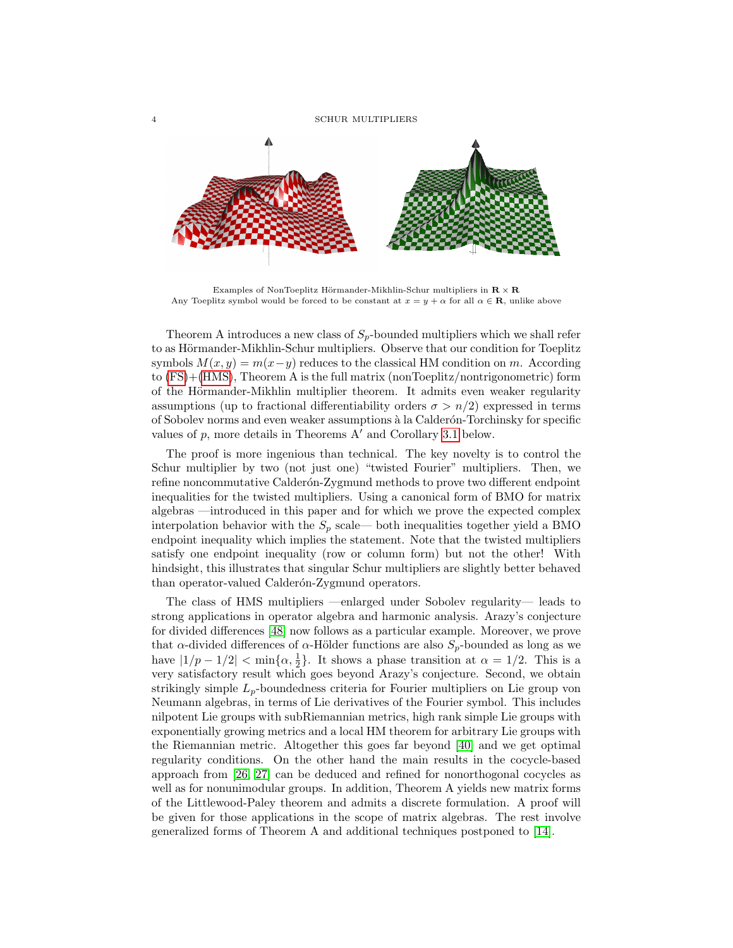

Examples of NonToeplitz Hörmander-Mikhlin-Schur multipliers in  $\mathbb{R} \times \mathbb{R}$ Any Toeplitz symbol would be forced to be constant at  $x = y + \alpha$  for all  $\alpha \in \mathbb{R}$ , unlike above

Theorem A introduces a new class of  $S_p$ -bounded multipliers which we shall refer to as Hörmander-Mikhlin-Schur multipliers. Observe that our condition for Toeplitz symbols  $M(x, y) = m(x-y)$  reduces to the classical HM condition on m. According to [\(FS\)](#page-1-0)+[\(HMS\)](#page-1-1), Theorem A is the full matrix (nonToeplitz/nontrigonometric) form of the Hörmander-Mikhlin multiplier theorem. It admits even weaker regularity assumptions (up to fractional differentiability orders  $\sigma > n/2$ ) expressed in terms of Sobolev norms and even weaker assumptions `a la Calder´on-Torchinsky for specific values of  $p$ , more details in Theorems A' and Corollary [3.1](#page-14-0) below.

The proof is more ingenious than technical. The key novelty is to control the Schur multiplier by two (not just one) "twisted Fourier" multipliers. Then, we refine noncommutative Calderón-Zygmund methods to prove two different endpoint inequalities for the twisted multipliers. Using a canonical form of BMO for matrix algebras —introduced in this paper and for which we prove the expected complex interpolation behavior with the  $S_p$  scale— both inequalities together yield a BMO endpoint inequality which implies the statement. Note that the twisted multipliers satisfy one endpoint inequality (row or column form) but not the other! With hindsight, this illustrates that singular Schur multipliers are slightly better behaved than operator-valued Calderón-Zygmund operators.

The class of HMS multipliers —enlarged under Sobolev regularity— leads to strong applications in operator algebra and harmonic analysis. Arazy's conjecture for divided differences [\[48\]](#page-19-5) now follows as a particular example. Moreover, we prove that  $\alpha$ -divided differences of  $\alpha$ -Hölder functions are also  $S_p$ -bounded as long as we have  $|1/p - 1/2| < \min\{\alpha, \frac{1}{2}\}\$ . It shows a phase transition at  $\alpha = 1/2$ . This is a very satisfactory result which goes beyond Arazy's conjecture. Second, we obtain strikingly simple  $L_p$ -boundedness criteria for Fourier multipliers on Lie group von Neumann algebras, in terms of Lie derivatives of the Fourier symbol. This includes nilpotent Lie groups with subRiemannian metrics, high rank simple Lie groups with exponentially growing metrics and a local HM theorem for arbitrary Lie groups with the Riemannian metric. Altogether this goes far beyond [\[40\]](#page-19-3) and we get optimal regularity conditions. On the other hand the main results in the cocycle-based approach from [\[26,](#page-18-6) [27\]](#page-18-7) can be deduced and refined for nonorthogonal cocycles as well as for nonunimodular groups. In addition, Theorem A yields new matrix forms of the Littlewood-Paley theorem and admits a discrete formulation. A proof will be given for those applications in the scope of matrix algebras. The rest involve generalized forms of Theorem A and additional techniques postponed to [\[14\]](#page-18-19).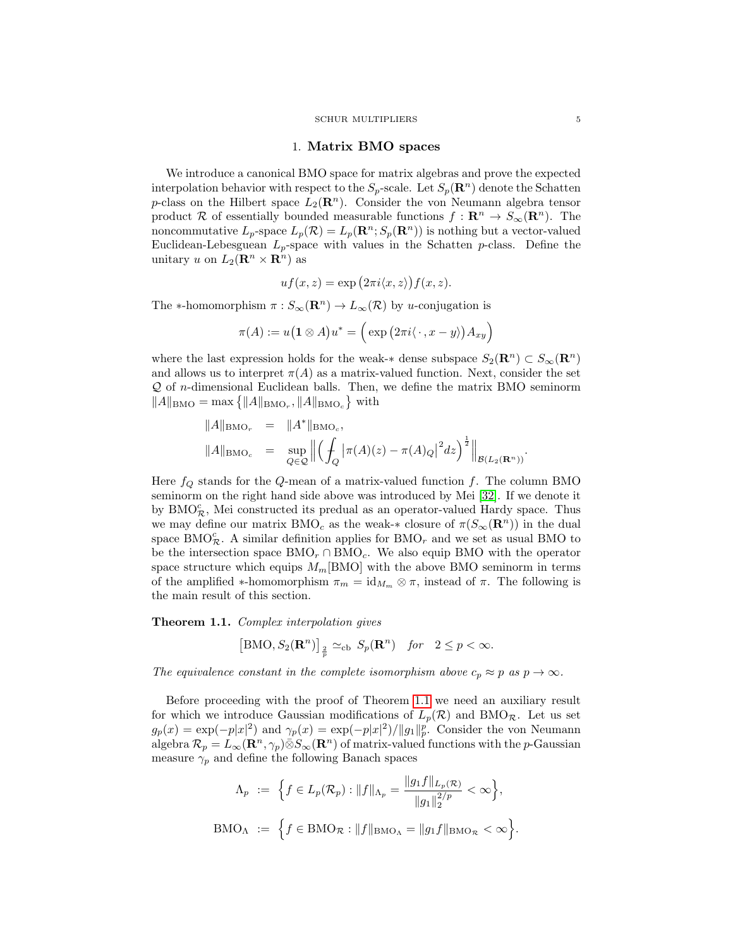### 1. Matrix BMO spaces

We introduce a canonical BMO space for matrix algebras and prove the expected interpolation behavior with respect to the  $S_p$ -scale. Let  $S_p(\mathbf{R}^n)$  denote the Schatten p-class on the Hilbert space  $L_2(\mathbf{R}^n)$ . Consider the von Neumann algebra tensor product R of essentially bounded measurable functions  $f : \mathbb{R}^n \to S_{\infty}(\mathbb{R}^n)$ . The noncommutative  $L_p$ -space  $L_p(\mathcal{R}) = L_p(\mathbf{R}^n; S_p(\mathbf{R}^n))$  is nothing but a vector-valued Euclidean-Lebesguean  $L_p$ -space with values in the Schatten  $p$ -class. Define the unitary u on  $L_2(\mathbf{R}^n \times \mathbf{R}^n)$  as

$$
uf(x, z) = \exp(2\pi i \langle x, z \rangle) f(x, z).
$$

The \*-homomorphism  $\pi : S_\infty(\mathbf{R}^n) \to L_\infty(\mathcal{R})$  by u-conjugation is

$$
\pi(A) := u(\mathbf{1} \otimes A)u^* = \Big(\exp\big(2\pi i\langle\,\cdot\,,x-y\rangle\big)A_{xy}\Big)
$$

where the last expression holds for the weak-∗ dense subspace  $S_2(\mathbf{R}^n) \subset S_{\infty}(\mathbf{R}^n)$ and allows us to interpret  $\pi(A)$  as a matrix-valued function. Next, consider the set Q of n-dimensional Euclidean balls. Then, we define the matrix BMO seminorm  $||A||_{\text{BMO}} = \max \{||A||_{\text{BMO}_r}, ||A||_{\text{BMO}_c}\}\$  with

$$
||A||_{\text{BMO}_c} = ||A^*||_{\text{BMO}_c},
$$
  

$$
||A||_{\text{BMO}_c} = \sup_{Q \in \mathcal{Q}} ||\left(\int_Q |\pi(A)(z) - \pi(A)_Q|^2 dz\right)^{\frac{1}{2}}||_{\mathcal{B}(L_2(\mathbf{R}^n))}.
$$

Here  $f_Q$  stands for the Q-mean of a matrix-valued function f. The column BMO seminorm on the right hand side above was introduced by Mei [\[32\]](#page-19-13). If we denote it by  $\text{BMO}_{\mathcal{R}}^c$ , Mei constructed its predual as an operator-valued Hardy space. Thus we may define our matrix  $BMO_c$  as the weak-\* closure of  $\pi(S_\infty({\bf R}^n))$  in the dual space BMO<sub> $\mathcal{R}$ </sub>. A similar definition applies for BMO<sub>r</sub> and we set as usual BMO to be the intersection space  $BMO<sub>r</sub> \cap BMO<sub>c</sub>$ . We also equip BMO with the operator space structure which equips  $M_m$ [BMO] with the above BMO seminorm in terms of the amplified  $\ast$ -homomorphism  $\pi_m = \mathrm{id}_{M_m} \otimes \pi$ , instead of  $\pi$ . The following is the main result of this section.

<span id="page-4-0"></span>Theorem 1.1. Complex interpolation gives

$$
[\text{BMO}, S_2(\mathbf{R}^n)]_{\frac{2}{p}} \simeq_{\text{cb}} S_p(\mathbf{R}^n) \quad \text{for} \quad 2 \le p < \infty.
$$

The equivalence constant in the complete isomorphism above  $c_p \approx p$  as  $p \to \infty$ .

Before proceeding with the proof of Theorem [1.1](#page-4-0) we need an auxiliary result for which we introduce Gaussian modifications of  $L_p(\mathcal{R})$  and BMO<sub>R</sub>. Let us set  $g_p(x) = \exp(-p|x|^2)$  and  $\gamma_p(x) = \exp(-p|x|^2)/||g_1||_p^p$ . Consider the von Neumann algebra  $\mathcal{R}_p = L_\infty(\mathbf{R}^n, \gamma_p) \bar{\otimes} S_\infty(\mathbf{R}^n)$  of matrix-valued functions with the p-Gaussian measure  $\gamma_p$  and define the following Banach spaces

$$
\Lambda_p := \left\{ f \in L_p(\mathcal{R}_p) : ||f||_{\Lambda_p} = \frac{||g_1 f||_{L_p(\mathcal{R})}}{||g_1||_2^{2/p}} < \infty \right\},
$$
  

$$
BMO_{\Lambda} := \left\{ f \in BMO_{\mathcal{R}} : ||f||_{BMO_{\Lambda}} = ||g_1 f||_{BMO_{\mathcal{R}}} < \infty \right\}.
$$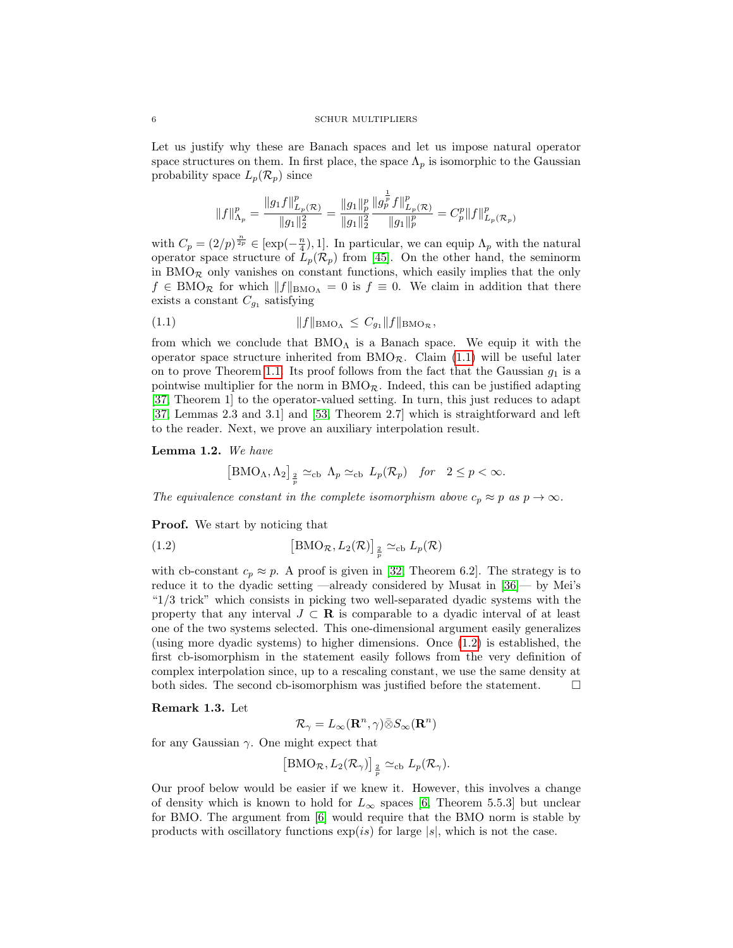Let us justify why these are Banach spaces and let us impose natural operator space structures on them. In first place, the space  $\Lambda_p$  is isomorphic to the Gaussian probability space  $L_p(\mathcal{R}_p)$  since

$$
\|f\|_{\Lambda_p}^p=\frac{\|g_1f\|_{L_p(\mathcal{R})}^p}{\|g_1\|_2^2}=\frac{\|g_1\|_p^p}{\|g_1\|_2^2}\frac{\|g_p^{\frac{1}{p}}f\|_{L_p(\mathcal{R})}^p}{\|g_1\|_p^p}=C_p^p\|f\|_{L_p(\mathcal{R}_p)}^p
$$

with  $C_p = (2/p)^{\frac{n}{2p}} \in [\exp(-\frac{n}{4}), 1]$ . In particular, we can equip  $\Lambda_p$  with the natural operator space structure of  $L_p(\mathcal{R}_p)$  from [\[45\]](#page-19-7). On the other hand, the seminorm in  $BMO_{\mathcal{R}}$  only vanishes on constant functions, which easily implies that the only  $f \in BMO_{\mathcal{R}}$  for which  $||f||_{BMO_{\Lambda}} = 0$  is  $f \equiv 0$ . We claim in addition that there exists a constant  $C_{g_1}$  satisfying

<span id="page-5-0"></span>(1.1) 
$$
||f||_{BMO_{\Lambda}} \leq C_{g_1} ||f||_{BMO_{\mathcal{R}}},
$$

from which we conclude that  $BMO<sub>A</sub>$  is a Banach space. We equip it with the operator space structure inherited from  $BMO_{\mathcal{R}}$ . Claim [\(1.1\)](#page-5-0) will be useful later on to prove Theorem [1.1.](#page-4-0) Its proof follows from the fact that the Gaussian  $g_1$  is a pointwise multiplier for the norm in  $BMO_{\mathcal{R}}$ . Indeed, this can be justified adapting [\[37,](#page-19-14) Theorem 1] to the operator-valued setting. In turn, this just reduces to adapt [\[37,](#page-19-14) Lemmas 2.3 and 3.1] and [\[53,](#page-19-15) Theorem 2.7] which is straightforward and left to the reader. Next, we prove an auxiliary interpolation result.

<span id="page-5-2"></span>Lemma 1.2. We have

<span id="page-5-1"></span>
$$
\left[\text{BMO}_{\Lambda}, \Lambda_2\right]_{\frac{2}{p}} \simeq_{\text{cb}} \Lambda_p \simeq_{\text{cb}} L_p(\mathcal{R}_p) \quad \text{for} \quad 2 \le p < \infty.
$$

The equivalence constant in the complete isomorphism above  $c_p \approx p$  as  $p \to \infty$ .

**Proof.** We start by noticing that

(1.2) 
$$
\left[\text{BMO}_{\mathcal{R}}, L_2(\mathcal{R})\right]_{\frac{2}{p}} \simeq_{\text{cb}} L_p(\mathcal{R})
$$

with cb-constant  $c_p \approx p$ . A proof is given in [\[32,](#page-19-13) Theorem 6.2]. The strategy is to reduce it to the dyadic setting —already considered by Musat in [\[36\]](#page-19-16)— by Mei's "1/3 trick" which consists in picking two well-separated dyadic systems with the property that any interval  $J \subset \mathbf{R}$  is comparable to a dyadic interval of at least one of the two systems selected. This one-dimensional argument easily generalizes (using more dyadic systems) to higher dimensions. Once [\(1.2\)](#page-5-1) is established, the first cb-isomorphism in the statement easily follows from the very definition of complex interpolation since, up to a rescaling constant, we use the same density at both sides. The second cb-isomorphism was justified before the statement.

### Remark 1.3. Let

$$
\mathcal{R}_{\gamma} = L_{\infty}(\mathbf{R}^n, \gamma) \bar{\otimes} S_{\infty}(\mathbf{R}^n)
$$

for any Gaussian  $\gamma$ . One might expect that

$$
[\mathrm{BMO}_{\mathcal{R}}, L_2(\mathcal{R}_{\gamma})]_{\frac{2}{p}} \simeq_{\mathrm{cb}} L_p(\mathcal{R}_{\gamma}).
$$

Our proof below would be easier if we knew it. However, this involves a change of density which is known to hold for  $L_{\infty}$  spaces [\[6,](#page-18-20) Theorem 5.5.3] but unclear for BMO. The argument from [\[6\]](#page-18-20) would require that the BMO norm is stable by products with oscillatory functions  $\exp(is)$  for large  $|s|$ , which is not the case.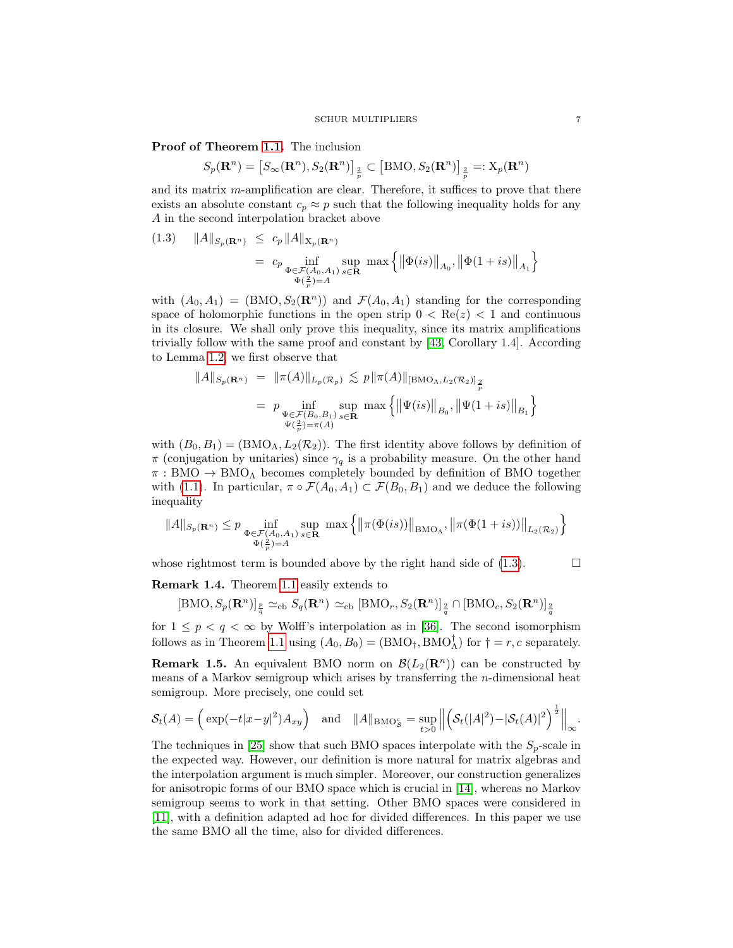Proof of Theorem [1.1.](#page-4-0) The inclusion

$$
S_p(\mathbf{R}^n) = \left[S_\infty(\mathbf{R}^n), S_2(\mathbf{R}^n)\right]_{\frac{2}{p}} \subset \left[\text{BMO}, S_2(\mathbf{R}^n)\right]_{\frac{2}{p}} =: X_p(\mathbf{R}^n)
$$

and its matrix m-amplification are clear. Therefore, it suffices to prove that there exists an absolute constant  $c_p \approx p$  such that the following inequality holds for any A in the second interpolation bracket above

<span id="page-6-0"></span>(1.3) 
$$
||A||_{S_p(\mathbf{R}^n)} \leq c_p ||A||_{X_p(\mathbf{R}^n)}
$$
  
=  $c_p \inf_{\substack{\Phi \in \mathcal{F}(A_0, A_1) \\ \Phi(\frac{2}{p}) = A}} \sup_{s \in \mathbf{R}} \max \{ ||\Phi(is)||_{A_0}, ||\Phi(1+is)||_{A_1} \}$ 

with  $(A_0, A_1) = (BMO, S_2(\mathbf{R}^n))$  and  $\mathcal{F}(A_0, A_1)$  standing for the corresponding space of holomorphic functions in the open strip  $0 < \text{Re}(z) < 1$  and continuous in its closure. We shall only prove this inequality, since its matrix amplifications trivially follow with the same proof and constant by [\[43,](#page-19-17) Corollary 1.4]. According to Lemma [1.2,](#page-5-2) we first observe that

$$
||A||_{S_p(\mathbf{R}^n)} = ||\pi(A)||_{L_p(\mathcal{R}_p)} \lesssim p ||\pi(A)||_{[\text{BMO}_\Lambda, L_2(\mathcal{R}_2)]_{\frac{2}{p}}}
$$
  
=  $p \inf_{\substack{\Psi \in \mathcal{F}(B_0, B_1) \\ \Psi(\frac{2}{p}) = \pi(A)}} \sup_{s \in \mathbf{R}} \max \{ ||\Psi(is)||_{B_0}, ||\Psi(1+is)||_{B_1} \}$ 

with  $(B_0, B_1) = (BMO_\Lambda, L_2(\mathcal{R}_2))$ . The first identity above follows by definition of  $\pi$  (conjugation by unitaries) since  $\gamma_q$  is a probability measure. On the other hand  $\pi : BMO \rightarrow BMO$ <sup>A</sup> becomes completely bounded by definition of BMO together with [\(1.1\)](#page-5-0). In particular,  $\pi \circ \mathcal{F}(A_0, A_1) \subset \mathcal{F}(B_0, B_1)$  and we deduce the following inequality

$$
||A||_{S_p(\mathbf{R}^n)} \le p \inf_{\substack{\Phi \in \mathcal{F}(A_0, A_1) \\ \Phi(\frac{2}{p}) = A}} \sup_{s \in \mathbf{R}} \max \left\{ ||\pi(\Phi(is))||_{\text{BMO}_\Lambda}, ||\pi(\Phi(1+is))||_{L_2(\mathcal{R}_2)} \right\}
$$

whose rightmost term is bounded above by the right hand side of  $(1.3)$ .

<span id="page-6-1"></span>Remark 1.4. Theorem [1.1](#page-4-0) easily extends to

 $[\text{BMO}, S_p(\mathbf{R}^n)]_{\frac{p}{q}} \simeq_{\text{cb}} S_q(\mathbf{R}^n) \simeq_{\text{cb}} [\text{BMO}_r, S_2(\mathbf{R}^n)]_{\frac{2}{q}} \cap [\text{BMO}_c, S_2(\mathbf{R}^n)]_{\frac{2}{q}}$ 

for  $1 \leq p < q < \infty$  by Wolff's interpolation as in [\[36\]](#page-19-16). The second isomorphism follows as in Theorem [1.1](#page-4-0) using  $(A_0, B_0) = (BMO_{\dagger}, BMO_{\Lambda}^{\dagger})$  for  $\dagger = r, c$  separately.

**Remark 1.5.** An equivalent BMO norm on  $\mathcal{B}(L_2(\mathbf{R}^n))$  can be constructed by means of a Markov semigroup which arises by transferring the n-dimensional heat semigroup. More precisely, one could set

$$
\mathcal{S}_t(A) = \left(\exp(-t|x-y|^2)A_{xy}\right) \quad \text{and} \quad ||A||_{\text{BMO}_{\mathcal{S}}^c} = \sup_{t>0} \left\| \left(\mathcal{S}_t(|A|^2) - |\mathcal{S}_t(A)|^2\right)^{\frac{1}{2}} \right\|_{\infty}.
$$

The techniques in [\[25\]](#page-18-21) show that such BMO spaces interpolate with the  $S_p$ -scale in the expected way. However, our definition is more natural for matrix algebras and the interpolation argument is much simpler. Moreover, our construction generalizes for anisotropic forms of our BMO space which is crucial in [\[14\]](#page-18-19), whereas no Markov semigroup seems to work in that setting. Other BMO spaces were considered in [\[11\]](#page-18-22), with a definition adapted ad hoc for divided differences. In this paper we use the same BMO all the time, also for divided differences.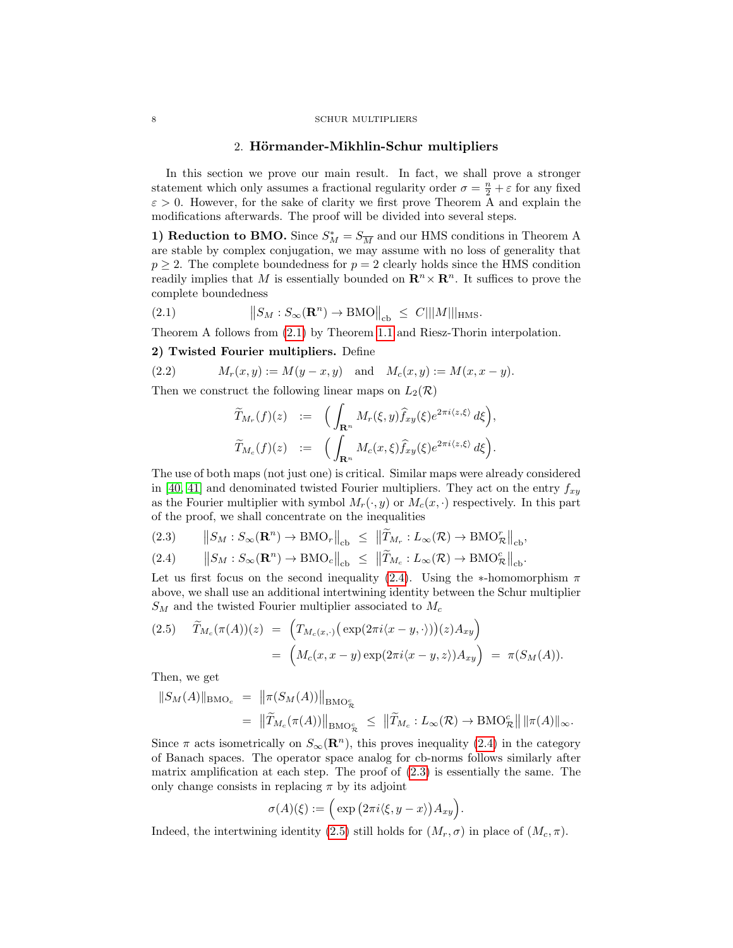### 2. Hörmander-Mikhlin-Schur multipliers

In this section we prove our main result. In fact, we shall prove a stronger statement which only assumes a fractional regularity order  $\sigma = \frac{n}{2} + \varepsilon$  for any fixed  $\varepsilon > 0$ . However, for the sake of clarity we first prove Theorem A and explain the modifications afterwards. The proof will be divided into several steps.

1) Reduction to BMO. Since  $S_M^* = S_{\overline{M}}$  and our HMS conditions in Theorem A are stable by complex conjugation, we may assume with no loss of generality that  $p > 2$ . The complete boundedness for  $p = 2$  clearly holds since the HMS condition readily implies that M is essentially bounded on  $\mathbb{R}^n \times \mathbb{R}^n$ . It suffices to prove the complete boundedness

<span id="page-7-0"></span>(2.1) 
$$
\|S_M : S_\infty(\mathbf{R}^n) \to \text{BMO}\|_{\text{cb}} \leq C|||M|||_{\text{HMS}}.
$$

Theorem A follows from [\(2.1\)](#page-7-0) by Theorem [1.1](#page-4-0) and Riesz-Thorin interpolation.

# 2) Twisted Fourier multipliers. Define

(2.2) 
$$
M_r(x, y) := M(y - x, y)
$$
 and  $M_c(x, y) := M(x, x - y)$ .

Then we construct the following linear maps on  $L_2(\mathcal{R})$ 

<span id="page-7-3"></span>
$$
\widetilde{T}_{M_r}(f)(z) := \left( \int_{\mathbf{R}^n} M_r(\xi, y) \widehat{f}_{xy}(\xi) e^{2\pi i \langle z, \xi \rangle} d\xi \right),
$$
  

$$
\widetilde{T}_{M_c}(f)(z) := \left( \int_{\mathbf{R}^n} M_c(x, \xi) \widehat{f}_{xy}(\xi) e^{2\pi i \langle z, \xi \rangle} d\xi \right).
$$

The use of both maps (not just one) is critical. Similar maps were already considered in [\[40,](#page-19-3) [41\]](#page-19-4) and denominated twisted Fourier multipliers. They act on the entry  $f_{xy}$ as the Fourier multiplier with symbol  $M_r(\cdot, y)$  or  $M_c(x, \cdot)$  respectively. In this part of the proof, we shall concentrate on the inequalities

<span id="page-7-1"></span>
$$
(2.3) \qquad \left\| S_M : S_\infty(\mathbf{R}^n) \to \text{BMO}_r \right\|_{\text{cb}} \ \leq \ \left\| \widetilde{T}_{M_r} : L_\infty(\mathcal{R}) \to \text{BMO}_{\mathcal{R}}^r \right\|_{\text{cb}},
$$

$$
(2.4) \qquad \left\| S_M : S_\infty(\mathbf{R}^n) \to \text{BMO}_c \right\|_{\text{cb}} \ \leq \ \left\| \widetilde{T}_{M_c} : L_\infty(\mathcal{R}) \to \text{BMO}_{\mathcal{R}}^c \right\|_{\text{cb}}.
$$

Let us first focus on the second inequality [\(2.4\)](#page-7-1). Using the ∗-homomorphism  $\pi$ above, we shall use an additional intertwining identity between the Schur multiplier  $S_M$  and the twisted Fourier multiplier associated to  $M_c$ 

<span id="page-7-2"></span>(2.5) 
$$
\widetilde{T}_{M_c}(\pi(A))(z) = \left( T_{M_c(x,\cdot)}(\exp(2\pi i \langle x-y, \cdot \rangle))(z) A_{xy} \right)
$$

$$
= \left( M_c(x, x-y) \exp(2\pi i \langle x-y, z \rangle) A_{xy} \right) = \pi(S_M(A)).
$$

Then, we get

$$
||S_M(A)||_{\text{BMO}_c} = ||\pi(S_M(A))||_{\text{BMO}_R^c}
$$
  
= 
$$
||\widetilde{T}_{M_c}(\pi(A))||_{\text{BMO}_R^c} \le ||\widetilde{T}_{M_c}: L_{\infty}(\mathcal{R}) \to \text{BMO}_R^c|| \, ||\pi(A)||_{\infty}.
$$

Since  $\pi$  acts isometrically on  $S_{\infty}(\mathbf{R}^n)$ , this proves inequality [\(2.4\)](#page-7-1) in the category of Banach spaces. The operator space analog for cb-norms follows similarly after matrix amplification at each step. The proof of [\(2.3\)](#page-7-1) is essentially the same. The only change consists in replacing  $\pi$  by its adjoint

$$
\sigma(A)(\xi) := \Big(\exp\big(2\pi i\langle \xi, y - x \rangle\big)A_{xy}\Big).
$$

Indeed, the intertwining identity [\(2.5\)](#page-7-2) still holds for  $(M_r, \sigma)$  in place of  $(M_c, \pi)$ .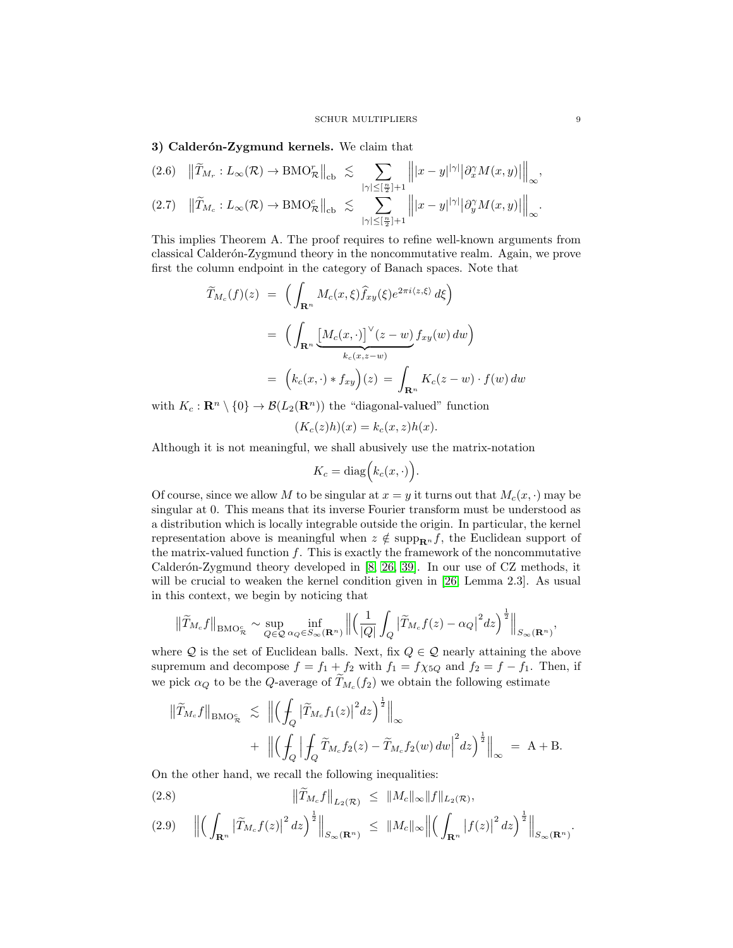# 3) Calderón-Zygmund kernels. We claim that

<span id="page-8-1"></span>
$$
(2.6) \quad \left\| \widetilde{T}_{M_r} : L_\infty(\mathcal{R}) \to \text{BMO}_{\mathcal{R}}^r \right\|_{\text{cb}} \leq \sum_{|\gamma| \leq [\frac{n}{2}] + 1} \left\| |x - y|^{|\gamma|} \left| \partial_x^{\gamma} M(x, y) \right| \right\|_{\infty},
$$
  

$$
(2.7) \quad \left\| \widetilde{T}_{M_c} : L_\infty(\mathcal{R}) \to \text{BMO}_{\mathcal{R}}^c \right\|_{\text{cb}} \leq \sum_{|\gamma| \leq [\frac{n}{2}] + 1} \left\| |x - y|^{|\gamma|} \left| \partial_y^{\gamma} M(x, y) \right| \right\|_{\infty}.
$$

This implies Theorem A. The proof requires to refine well-known arguments from classical Calderón-Zygmund theory in the noncommutative realm. Again, we prove first the column endpoint in the category of Banach spaces. Note that

$$
\widetilde{T}_{M_c}(f)(z) = \left( \int_{\mathbf{R}^n} M_c(x,\xi) \widehat{f}_{xy}(\xi) e^{2\pi i \langle z,\xi \rangle} d\xi \right)
$$
\n
$$
= \left( \int_{\mathbf{R}^n} \underbrace{\left[ M_c(x,\cdot) \right]^{\vee} (z-w)}_{k_c(x,z-w)} f_{xy}(w) dw \right)
$$
\n
$$
= \left( k_c(x,\cdot) * f_{xy} \right)(z) = \int_{\mathbf{R}^n} K_c(z-w) \cdot f(w) dw
$$

with  $K_c : \mathbf{R}^n \setminus \{0\} \to \mathcal{B}(L_2(\mathbf{R}^n))$  the "diagonal-valued" function

$$
(K_c(z)h)(x) = k_c(x, z)h(x).
$$

Although it is not meaningful, we shall abusively use the matrix-notation

$$
K_c = \text{diag}\Big(k_c(x,\cdot)\Big).
$$

Of course, since we allow M to be singular at  $x = y$  it turns out that  $M_c(x, \cdot)$  may be singular at 0. This means that its inverse Fourier transform must be understood as a distribution which is locally integrable outside the origin. In particular, the kernel representation above is meaningful when  $z \notin \text{supp}_{\mathbf{R}^n} f$ , the Euclidean support of the matrix-valued function  $f$ . This is exactly the framework of the noncommutative Calderón-Zygmund theory developed in  $[8, 26, 39]$  $[8, 26, 39]$  $[8, 26, 39]$ . In our use of CZ methods, it will be crucial to weaken the kernel condition given in [\[26,](#page-18-6) Lemma 2.3]. As usual in this context, we begin by noticing that

$$
\left\|\widetilde{T}_{M_c}f\right\|_{\text{BMO}_{\mathcal{R}}^c} \sim \sup_{Q \in \mathcal{Q}} \inf_{\alpha_Q \in S_\infty(\mathbf{R}^n)} \left\|\left(\frac{1}{|Q|}\int_Q \left|\widetilde{T}_{M_c}f(z) - \alpha_Q\right|^2 dz\right)^{\frac{1}{2}}\right\|_{S_\infty(\mathbf{R}^n)},
$$

where  $Q$  is the set of Euclidean balls. Next, fix  $Q \in \mathcal{Q}$  nearly attaining the above supremum and decompose  $f = f_1 + f_2$  with  $f_1 = f \chi_{5Q}$  and  $f_2 = f - f_1$ . Then, if we pick  $\alpha_Q$  to be the Q-average of  $T_{M_c}(f_2)$  we obtain the following estimate

$$
\begin{aligned}\n\left\|\widetilde{T}_{M_c}f\right\|_{\text{BMO}_{\mathcal{R}}^c} &\lesssim \left\|\left(\int_Q \left|\widetilde{T}_{M_c}f_1(z)\right|^2 dz\right)^{\frac{1}{2}}\right\|_{\infty} \\
&\quad + \left\|\left(\int_Q \left|\int_Q \widetilde{T}_{M_c}f_2(z)-\widetilde{T}_{M_c}f_2(w)\,dw\right|^2 dz\right)^{\frac{1}{2}}\right\|_{\infty} = \text{A} + \text{B}.\n\end{aligned}
$$

On the other hand, we recall the following inequalities:

<span id="page-8-0"></span>(2.8) 
$$
\|\widetilde{T}_{M_c}f\|_{L_2(\mathcal{R})} \leq \|M_c\|_{\infty} \|f\|_{L_2(\mathcal{R})},
$$

$$
(2.9) \quad \Big\| \Big( \int_{\mathbf{R}^n} \big| \widetilde{T}_{M_c} f(z) \big|^2 \, dz \Big)^{\frac{1}{2}} \Big\|_{S_{\infty}(\mathbf{R}^n)} \ \leq \ \| M_c \|_{\infty} \Big\| \Big( \int_{\mathbf{R}^n} \big| f(z) \big|^2 \, dz \Big)^{\frac{1}{2}} \Big\|_{S_{\infty}(\mathbf{R}^n)}.
$$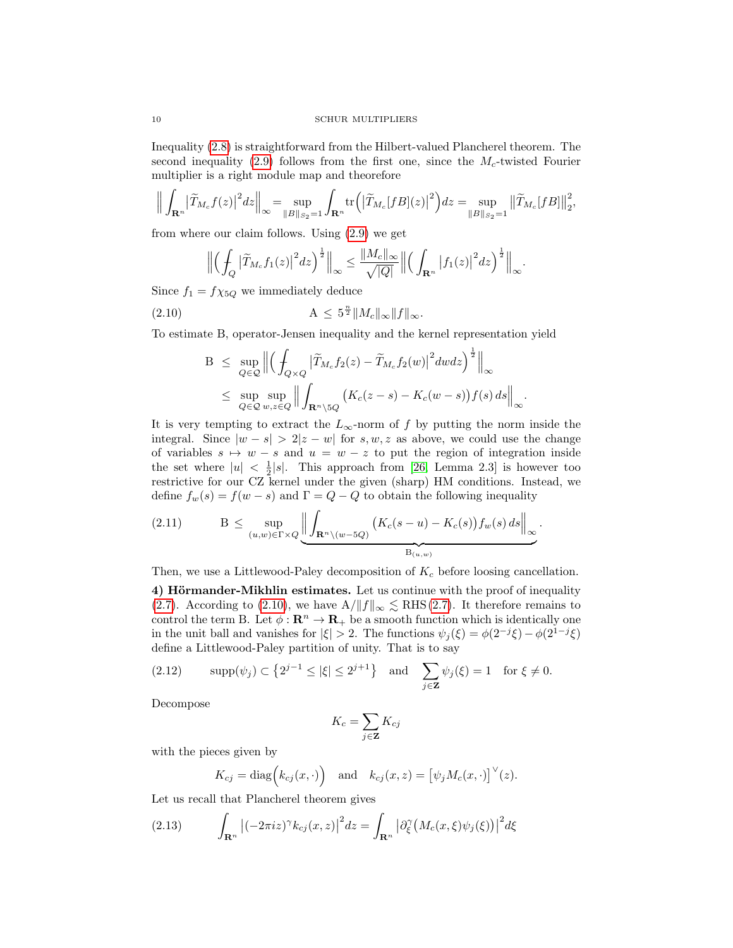Inequality [\(2.8\)](#page-8-0) is straightforward from the Hilbert-valued Plancherel theorem. The second inequality [\(2.9\)](#page-8-0) follows from the first one, since the  $M_c$ -twisted Fourier multiplier is a right module map and theorefore

$$
\Big\| \int_{\mathbf{R}^n} \left| \widetilde{T}_{M_c} f(z) \right|^2 dz \Big\|_{\infty} = \sup_{\|B\|_{S_2} = 1} \int_{\mathbf{R}^n} tr \Big( \left| \widetilde{T}_{M_c}[fB](z) \right|^2 \Big) dz = \sup_{\|B\|_{S_2} = 1} \left\| \widetilde{T}_{M_c}[fB] \right\|_{2}^2,
$$

from where our claim follows. Using [\(2.9\)](#page-8-0) we get

<span id="page-9-0"></span>
$$
\left\|\left(\int_Q\left|\widetilde{T}_{M_c}f_1(z)\right|^2dz\right)^{\frac{1}{2}}\right\|_{\infty}\leq\frac{\|M_c\|_{\infty}}{\sqrt{|Q|}}\left\|\left(\int_{\mathbf{R}^n}\left|f_1(z)\right|^2dz\right)^{\frac{1}{2}}\right\|_{\infty}.
$$

Since  $f_1 = f \chi_{5Q}$  we immediately deduce

(2.10) 
$$
A \leq 5^{\frac{n}{2}} \|M_c\|_{\infty} \|f\|_{\infty}.
$$

To estimate B, operator-Jensen inequality and the kernel representation yield

$$
B \leq \sup_{Q \in \mathcal{Q}} \left\| \left( \int_{Q \times Q} \left| \widetilde{T}_{M_c} f_2(z) - \widetilde{T}_{M_c} f_2(w) \right|^2 dw dz \right)^{\frac{1}{2}} \right\|_{\infty}
$$
  

$$
\leq \sup_{Q \in \mathcal{Q}} \sup_{w,z \in Q} \left\| \int_{\mathbf{R}^n \setminus \mathbb{S}Q} \left( K_c(z-s) - K_c(w-s) \right) f(s) ds \right\|_{\infty}.
$$

It is very tempting to extract the  $L_{\infty}$ -norm of f by putting the norm inside the integral. Since  $|w - s| > 2|z - w|$  for s, w, z as above, we could use the change of variables  $s \mapsto w - s$  and  $u = w - z$  to put the region of integration inside the set where  $|u| < \frac{1}{2}|s|$ . This approach from [\[26,](#page-18-6) Lemma 2.3] is however too restrictive for our CZ kernel under the given (sharp) HM conditions. Instead, we define  $f_w(s) = f(w - s)$  and  $\Gamma = Q - Q$  to obtain the following inequality

<span id="page-9-2"></span>
$$
(2.11) \t\t B \leq \sup_{(u,w)\in \Gamma\times Q} \left\| \underbrace{\int_{\mathbf{R}^n\setminus(w-5Q)} \left( K_c(s-u) - K_c(s) \right) f_w(s) \, ds}_{B_{(u,w)}} \right\|_{\infty}.
$$

Then, we use a Littlewood-Paley decomposition of  $K_c$  before loosing cancellation.

4) Hörmander-Mikhlin estimates. Let us continue with the proof of inequality [\(2.7\)](#page-8-1). According to [\(2.10\)](#page-9-0), we have  $A/\|f\|_{\infty} \lesssim \text{RHS}(2.7)$ . It therefore remains to control the term B. Let  $\phi : \mathbf{R}^n \to \mathbf{R}_+$  be a smooth function which is identically one in the unit ball and vanishes for  $|\xi| > 2$ . The functions  $\psi_j(\xi) = \phi(2^{-j}\xi) - \phi(2^{1-j}\xi)$ define a Littlewood-Paley partition of unity. That is to say

<span id="page-9-3"></span>
$$
(2.12) \qquad \mathrm{supp}(\psi_j) \subset \left\{2^{j-1} \leq |\xi| \leq 2^{j+1}\right\} \quad \text{and} \quad \sum_{j \in \mathbf{Z}} \psi_j(\xi) = 1 \quad \text{for } \xi \neq 0.
$$

Decompose

$$
K_c = \sum_{j \in \mathbf{Z}} K_{cj}
$$

with the pieces given by

<span id="page-9-1"></span>
$$
K_{cj} = \text{diag}(k_{cj}(x, \cdot))
$$
 and  $k_{cj}(x, z) = [\psi_j M_c(x, \cdot)]^{\vee}(z)$ .

Let us recall that Plancherel theorem gives

(2.13) 
$$
\int_{\mathbf{R}^n} \left| (-2\pi i z)^{\gamma} k_{cj}(x, z) \right|^2 dz = \int_{\mathbf{R}^n} \left| \partial_{\xi}^{\gamma} \left( M_c(x, \xi) \psi_j(\xi) \right) \right|^2 d\xi
$$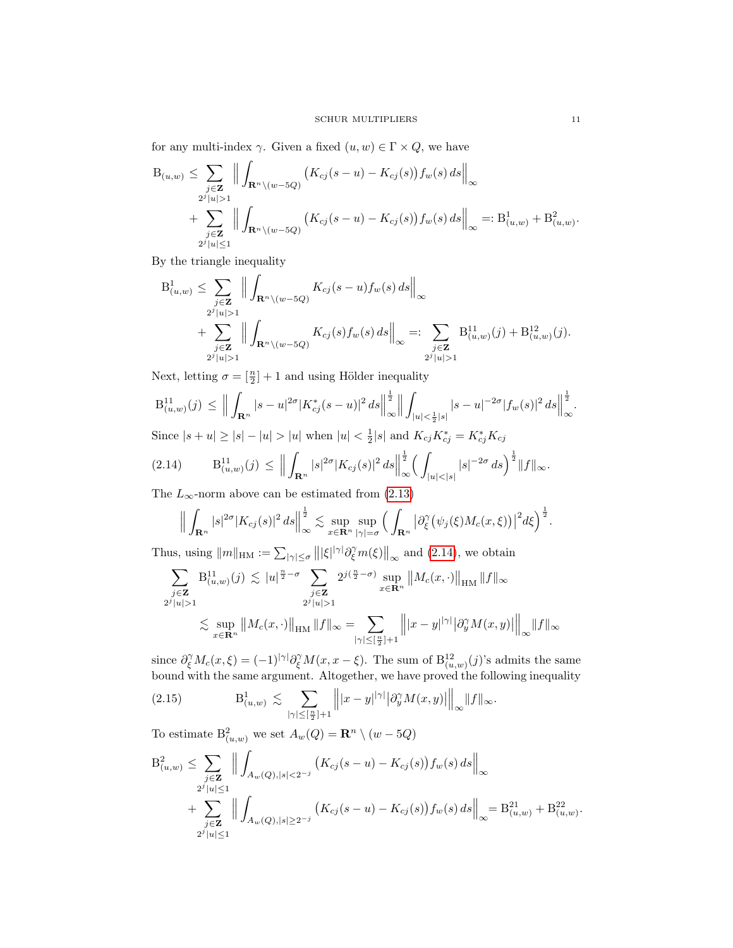for any multi-index  $\gamma$ . Given a fixed  $(u, w) \in \Gamma \times Q$ , we have

$$
B_{(u,w)} \leq \sum_{\substack{j \in \mathbf{Z} \\ 2^j |u| > 1}} \left\| \int_{\mathbf{R}^n \setminus (w - 5Q)} \left( K_{cj}(s - u) - K_{cj}(s) \right) f_w(s) \, ds \right\|_{\infty} + \sum_{\substack{j \in \mathbf{Z} \\ 2^j |u| \leq 1}} \left\| \int_{\mathbf{R}^n \setminus (w - 5Q)} \left( K_{cj}(s - u) - K_{cj}(s) \right) f_w(s) \, ds \right\|_{\infty} =: B^1_{(u,w)} + B^2_{(u,w)}.
$$

By the triangle inequality

$$
B_{(u,w)}^1 \leq \sum_{\substack{j \in \mathbf{Z} \\ 2^j |u| > 1}} \Big\| \int_{\mathbf{R}^n \setminus (w - 5Q)} K_{cj}(s - u) f_w(s) ds \Big\|_{\infty} + \sum_{\substack{j \in \mathbf{Z} \\ 2^j |u| > 1}} \Big\| \int_{\mathbf{R}^n \setminus (w - 5Q)} K_{cj}(s) f_w(s) ds \Big\|_{\infty} =: \sum_{\substack{j \in \mathbf{Z} \\ 2^j |u| > 1}} B_{(u,w)}^{11}(j) + B_{(u,w)}^{12}(j).
$$

Next, letting  $\sigma = \left[\frac{n}{2}\right] + 1$  and using Hölder inequality

$$
B_{(u,w)}^{11}(j) \leq \Big\|\int_{\mathbf{R}^n} |s-u|^{2\sigma} |K_{cj}^*(s-u)|^2 ds \Big\|_{\infty}^{\frac{1}{2}} \Big\|\int_{|u| < \frac{1}{2}|s|} |s-u|^{-2\sigma} |f_w(s)|^2 ds \Big\|_{\infty}^{\frac{1}{2}}.
$$

Since  $|s + u| \ge |s| - |u| > |u|$  when  $|u| < \frac{1}{2}|s|$  and  $K_{cj} K_{cj}^* = K_{cj}^* K_{cj}$ 

$$
(2.14) \tB_{(u,w)}^{11}(j) \leq \Big\|\int_{\mathbf{R}^n} |s|^{2\sigma} |K_{cj}(s)|^2 ds \Big\|_{\infty}^{\frac{1}{2}} \Big(\int_{|u|<|s|} |s|^{-2\sigma} ds\Big)^{\frac{1}{2}} \|f\|_{\infty}.
$$

The  $L_{\infty}$ -norm above can be estimated from [\(2.13\)](#page-9-1)

<span id="page-10-0"></span>
$$
\Big\|\int_{\mathbf{R}^n}|s|^{2\sigma}|K_{cj}(s)|^2 ds\Big\|_{\infty}^{\frac{1}{2}}\lesssim \sup_{x\in\mathbf{R}^n}\sup_{|\gamma|=\sigma}\Big(\int_{\mathbf{R}^n}\big|\partial_{\xi}^{\gamma}\big(\psi_j(\xi)M_c(x,\xi)\big)\big|^2 d\xi\Big)^{\frac{1}{2}}.
$$

Thus, using  $||m||_{HM} := \sum_{|\gamma| \leq \sigma} |||\xi||^{|\gamma|} \partial_{\xi}^{\gamma} m(\xi)||_{\infty}$  and [\(2.14\)](#page-10-0), we obtain

$$
\sum_{\substack{j \in \mathbf{Z} \\ 2^j |u| > 1}} B_{(u,w)}^{11}(j) \lesssim |u|^{\frac{n}{2} - \sigma} \sum_{\substack{j \in \mathbf{Z} \\ 2^j |u| > 1}} 2^{j(\frac{n}{2} - \sigma)} \sup_{x \in \mathbf{R}^n} ||M_c(x, \cdot)||_{\text{HM}} ||f||_{\infty}
$$
  

$$
\lesssim \sup_{x \in \mathbf{R}^n} ||M_c(x, \cdot)||_{\text{HM}} ||f||_{\infty} = \sum_{|\gamma| \leq [\frac{n}{2}] + 1} ||x - y|^{|\gamma|} |\partial_y^{\gamma} M(x, y)||_{\infty} ||f||_{\infty}
$$

since  $\partial_{\xi}^{\gamma} M_c(x,\xi) = (-1)^{|\gamma|} \partial_{\xi}^{\gamma} M(x,x-\xi)$ . The sum of  $B_{(u,w)}^{12}(j)$ 's admits the same bound with the same argument. Altogether, we have proved the following inequality

<span id="page-10-1"></span>(2.15) 
$$
B^1_{(u,w)} \lesssim \sum_{|\gamma| \leq [\frac{n}{2}] + 1} \left\| |x - y|^{|\gamma|} |\partial_y^{\gamma} M(x,y)| \right\|_{\infty} \|f\|_{\infty}.
$$

To estimate  $B^2_{(u,w)}$  we set  $A_w(Q) = \mathbb{R}^n \setminus (w - 5Q)$ 

$$
B^2_{(u,w)} \leq \sum_{\substack{j \in \mathbf{Z} \\ 2^j |u| \leq 1}} \left\| \int_{A_w(Q),|s| < 2^{-j}} \left( K_{cj}(s-u) - K_{cj}(s) \right) f_w(s) \, ds \right\|_{\infty} + \sum_{\substack{j \in \mathbf{Z} \\ 2^j |u| \leq 1}} \left\| \int_{A_w(Q),|s| \geq 2^{-j}} \left( K_{cj}(s-u) - K_{cj}(s) \right) f_w(s) \, ds \right\|_{\infty} = B^{21}_{(u,w)} + B^{22}_{(u,w)}
$$

.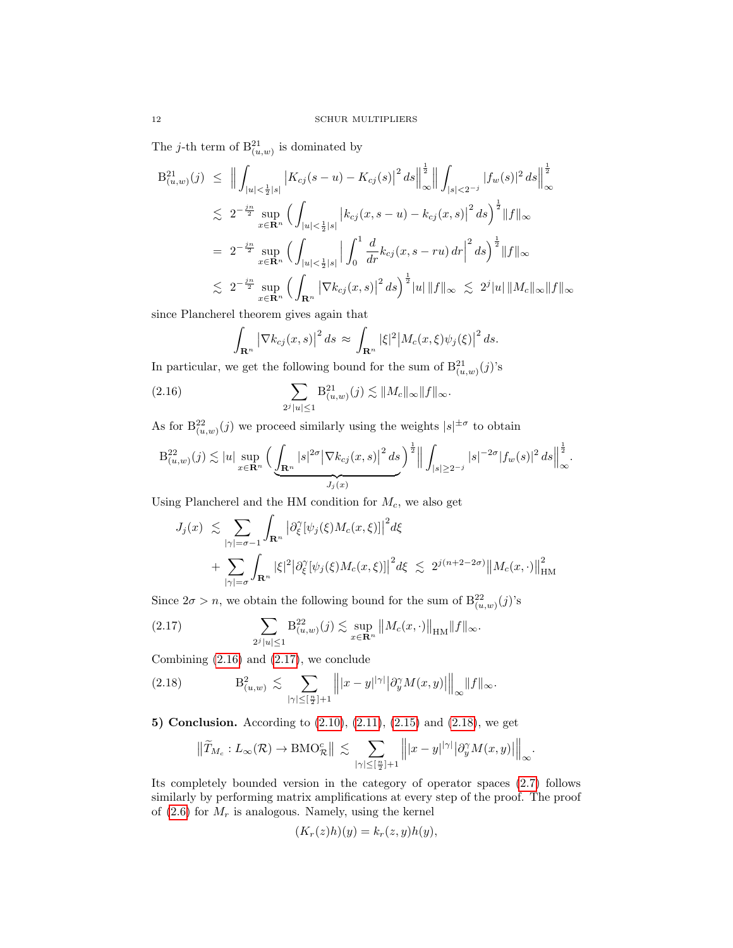The *j*-th term of  $B_{(u,w)}^{21}$  is dominated by

$$
B_{(u,w)}^{21}(j) \leq \Big\| \int_{|u| < \frac{1}{2}|s|} \left| K_{cj}(s-u) - K_{cj}(s) \right|^2 ds \Big\|_{\infty}^{\frac{1}{2}} \Big\| \int_{|s| < 2^{-j}} |f_w(s)|^2 ds \Big\|_{\infty}^{\frac{1}{2}} \n\lesssim 2^{-\frac{jn}{2}} \sup_{x \in \mathbf{R}^n} \Big( \int_{|u| < \frac{1}{2}|s|} \left| k_{cj}(x, s-u) - k_{cj}(x, s) \right|^2 ds \Big)^{\frac{1}{2}} \|f\|_{\infty} \n= 2^{-\frac{jn}{2}} \sup_{x \in \mathbf{R}^n} \Big( \int_{|u| < \frac{1}{2}|s|} \Big| \int_0^1 \frac{d}{dr} k_{cj}(x, s-ru) dr \Big|^2 ds \Big)^{\frac{1}{2}} \|f\|_{\infty} \n\lesssim 2^{-\frac{jn}{2}} \sup_{x \in \mathbf{R}^n} \Big( \int_{\mathbf{R}^n} \left| \nabla k_{cj}(x, s) \right|^2 ds \Big)^{\frac{1}{2}} |u| \|f\|_{\infty} \lesssim 2^j |u| \|M_c\|_{\infty} \|f\|_{\infty}
$$

since Plancherel theorem gives again that

<span id="page-11-0"></span>
$$
\int_{\mathbf{R}^n} \left| \nabla k_{cj}(x, s) \right|^2 ds \approx \int_{\mathbf{R}^n} |\xi|^2 \left| M_c(x, \xi) \psi_j(\xi) \right|^2 ds.
$$

In particular, we get the following bound for the sum of  $B_{(u,w)}^{21}(j)$ 's

(2.16) 
$$
\sum_{2^{j}|u| \leq 1} \mathbf{B}^{21}_{(u,w)}(j) \lesssim ||M_{c}||_{\infty} ||f||_{\infty}.
$$

As for  $B_{(u,w)}^{22}(j)$  we proceed similarly using the weights  $|s|^{1/\sigma}$  to obtain

$$
B^{22}_{(u,w)}(j) \lesssim |u| \sup_{x \in \mathbf{R}^n} \Big( \underbrace{\int_{\mathbf{R}^n} |s|^{2\sigma} \big| \nabla k_{cj}(x,s) \big|^2 ds}_{J_j(x)} \Big)^{\frac{1}{2}} \Big\| \int_{|s| \ge 2^{-j}} |s|^{-2\sigma} |f_w(s)|^2 ds \Big\|_{\infty}^{\frac{1}{2}}.
$$

Using Plancherel and the HM condition for  $M_c$ , we also get

$$
J_j(x) \lesssim \sum_{|\gamma|=\sigma-1} \int_{\mathbf{R}^n} \left| \partial_{\xi}^{\gamma} [\psi_j(\xi) M_c(x,\xi)] \right|^2 d\xi
$$
  
+ 
$$
\sum_{|\gamma|=\sigma} \int_{\mathbf{R}^n} |\xi|^2 \left| \partial_{\xi}^{\gamma} [\psi_j(\xi) M_c(x,\xi)] \right|^2 d\xi \lesssim 2^{j(n+2-2\sigma)} \|M_c(x,\cdot)\|_{\text{HM}}^2
$$

Since  $2\sigma > n$ , we obtain the following bound for the sum of  $B_{(u,w)}^{22}(j)$ 's

<span id="page-11-1"></span>(2.17) 
$$
\sum_{2^{j}|u| \leq 1} B_{(u,w)}^{22}(j) \lesssim \sup_{x \in \mathbf{R}^{n}} ||M_{c}(x, \cdot)||_{\text{HM}} ||f||_{\infty}.
$$

Combining [\(2.16\)](#page-11-0) and [\(2.17\)](#page-11-1), we conclude

(2.18) 
$$
B^2_{(u,w)} \lesssim \sum_{|\gamma| \leq [\frac{n}{2}]+1} \left\| |x-y|^{|\gamma|} |\partial_y^{\gamma} M(x,y)| \right\|_{\infty} \|f\|_{\infty}.
$$

5) Conclusion. According to [\(2.10\)](#page-9-0), [\(2.11\)](#page-9-2), [\(2.15\)](#page-10-1) and [\(2.18\)](#page-11-2), we get

<span id="page-11-2"></span>
$$
\left\|\widetilde{T}_{M_c}:L_\infty(\mathcal R)\to \mathrm{BMO}_{\mathcal R}^c\right\|\,\lesssim\, \sum_{|\gamma|\leq [\frac{n}{2}]+1}\left\||x-y|^{|\gamma|}\big|\partial_y^\gamma M(x,y)\big|\right\|_\infty
$$

.

Its completely bounded version in the category of operator spaces [\(2.7\)](#page-8-1) follows similarly by performing matrix amplifications at every step of the proof. The proof of  $(2.6)$  for  $M_r$  is analogous. Namely, using the kernel

$$
(K_r(z)h)(y) = k_r(z, y)h(y),
$$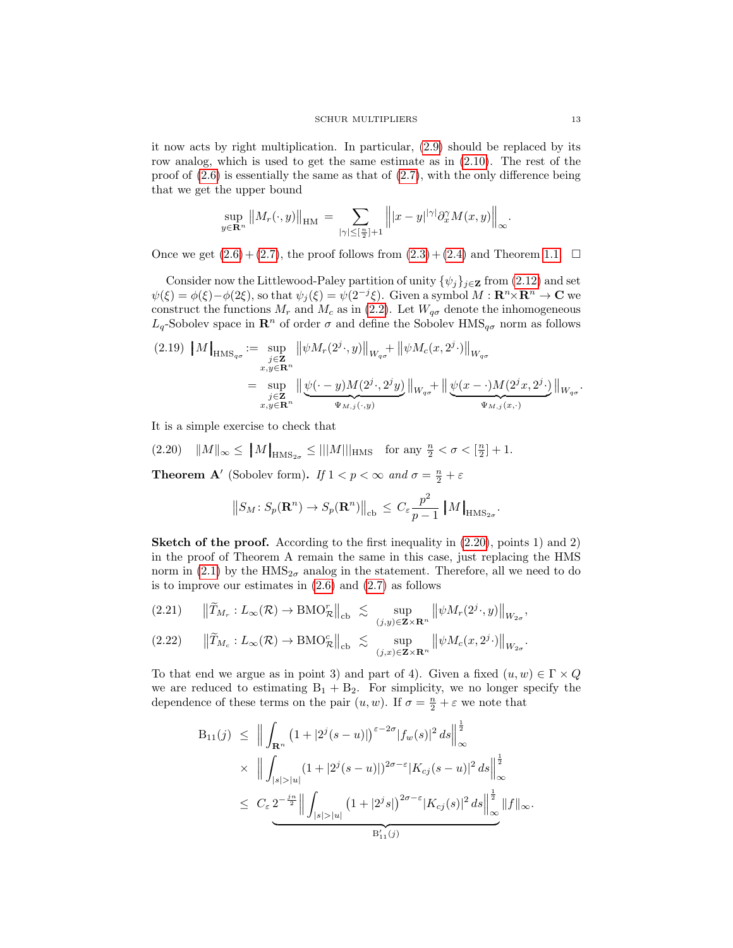it now acts by right multiplication. In particular, [\(2.9\)](#page-8-0) should be replaced by its row analog, which is used to get the same estimate as in [\(2.10\)](#page-9-0). The rest of the proof of [\(2.6\)](#page-8-1) is essentially the same as that of [\(2.7\)](#page-8-1), with the only difference being that we get the upper bound

$$
\sup_{y\in\mathbf{R}^n} \|M_r(\cdot,y)\|_{\text{HM}} = \sum_{|\gamma|\leq [\frac{n}{2}]+1} \| |x-y|^{|\gamma|} \partial_x^{\gamma} M(x,y) \|_{\infty}.
$$

Once we get  $(2.6) + (2.7)$  $(2.6) + (2.7)$ , the proof follows from  $(2.3) + (2.4)$  $(2.3) + (2.4)$  and Theorem [1.1.](#page-4-0)  $\Box$ 

Consider now the Littlewood-Paley partition of unity  $\{\psi_j\}_{j\in\mathbf{Z}}$  from [\(2.12\)](#page-9-3) and set  $\psi(\xi) = \phi(\xi) - \phi(2\xi)$ , so that  $\psi_j(\xi) = \psi(2^{-j}\xi)$ . Given a symbol  $M: \mathbf{R}^n \times \mathbf{R}^n \to \mathbf{C}$  we construct the functions  $M_r$  and  $M_c$  as in [\(2.2\)](#page-7-3). Let  $W_{q\sigma}$  denote the inhomogeneous  $L_q$ -Sobolev space in  $\mathbb{R}^n$  of order  $\sigma$  and define the Sobolev  $\text{HMS}_{q\sigma}$  norm as follows

<span id="page-12-2"></span>
$$
(2.19) \quad\n\left\| M \right\|_{\text{HMS}_{q\sigma}} := \sup_{\substack{j \in \mathbf{Z} \\ x, y \in \mathbf{R}^n}} \left\| \psi M_r(2^j \cdot, y) \right\|_{W_{q\sigma}} + \left\| \psi M_c(x, 2^j \cdot) \right\|_{W_{q\sigma}}\n= \sup_{\substack{j \in \mathbf{Z} \\ x, y \in \mathbf{R}^n}} \left\| \underbrace{\psi(\cdot - y) M(2^j \cdot, 2^j y)}_{\Psi_{M,j}(\cdot, y)} \right\|_{W_{q\sigma}} + \left\| \underbrace{\psi(x - \cdot) M(2^j x, 2^j \cdot)}_{\Psi_{M,j}(x, \cdot)} \right\|_{W_{q\sigma}}.
$$

It is a simple exercise to check that

<span id="page-12-0"></span>(2.20)  $\|M\|_{\infty} \le \|M\|_{\text{HMS}_{2\sigma}} \le \|M\|_{\text{HMS}}$  for any  $\frac{n}{2} < \sigma < \left[\frac{n}{2}\right] + 1$ .

**Theorem A'** (Sobolev form). If  $1 < p < \infty$  and  $\sigma = \frac{n}{2} + \varepsilon$ 

$$
||S_M: S_p(\mathbf{R}^n) \to S_p(\mathbf{R}^n)||_{\text{cb}} \le C_{\varepsilon} \frac{p^2}{p-1} ||M||_{\text{HMS}_{2\sigma}}.
$$

**Sketch of the proof.** According to the first inequality in  $(2.20)$ , points 1) and 2) in the proof of Theorem A remain the same in this case, just replacing the HMS norm in [\(2.1\)](#page-7-0) by the  $HMS_{2\sigma}$  analog in the statement. Therefore, all we need to do is to improve our estimates in  $(2.6)$  and  $(2.7)$  as follows

<span id="page-12-1"></span>
$$
(2.21) \qquad \left\|\widetilde{T}_{M_r}: L_{\infty}(\mathcal{R}) \to \text{BMO}_{\mathcal{R}}^r\right\|_{\text{cb}} \ \lesssim \ \sup_{(j,y)\in \mathbf{Z}\times\mathbf{R}^n} \left\|\psi M_r(2^j\cdot,y)\right\|_{W_{2\sigma}},
$$

$$
(2.22) \qquad \left\| \widetilde{T}_{M_c} : L_{\infty}(\mathcal{R}) \to \text{BMO}_{\mathcal{R}}^c \right\|_{\text{cb}} \lesssim \sup_{(j,x) \in \mathbf{Z} \times \mathbf{R}^n} \left\| \psi M_c(x, 2^j \cdot) \right\|_{W_{2\sigma}}.
$$

To that end we argue as in point 3) and part of 4). Given a fixed  $(u, w) \in \Gamma \times Q$ we are reduced to estimating  $B_1 + B_2$ . For simplicity, we no longer specify the dependence of these terms on the pair  $(u, w)$ . If  $\sigma = \frac{n}{2} + \varepsilon$  we note that

$$
B_{11}(j) \leq \left\| \int_{\mathbf{R}^n} \left( 1 + |2^j(s - u)| \right)^{\varepsilon - 2\sigma} |f_w(s)|^2 ds \right\|_{\infty}^{\frac{1}{2}} \times \left\| \int_{|s| > |u|} (1 + |2^j(s - u)|)^{2\sigma - \varepsilon} |K_{cj}(s - u)|^2 ds \right\|_{\infty}^{\frac{1}{2}} \leq C_{\varepsilon} 2^{-\frac{j^n}{2}} \left\| \int_{|s| > |u|} (1 + |2^j s|)^{2\sigma - \varepsilon} |K_{cj}(s)|^2 ds \right\|_{\infty}^{\frac{1}{2}} \|f\|_{\infty}.
$$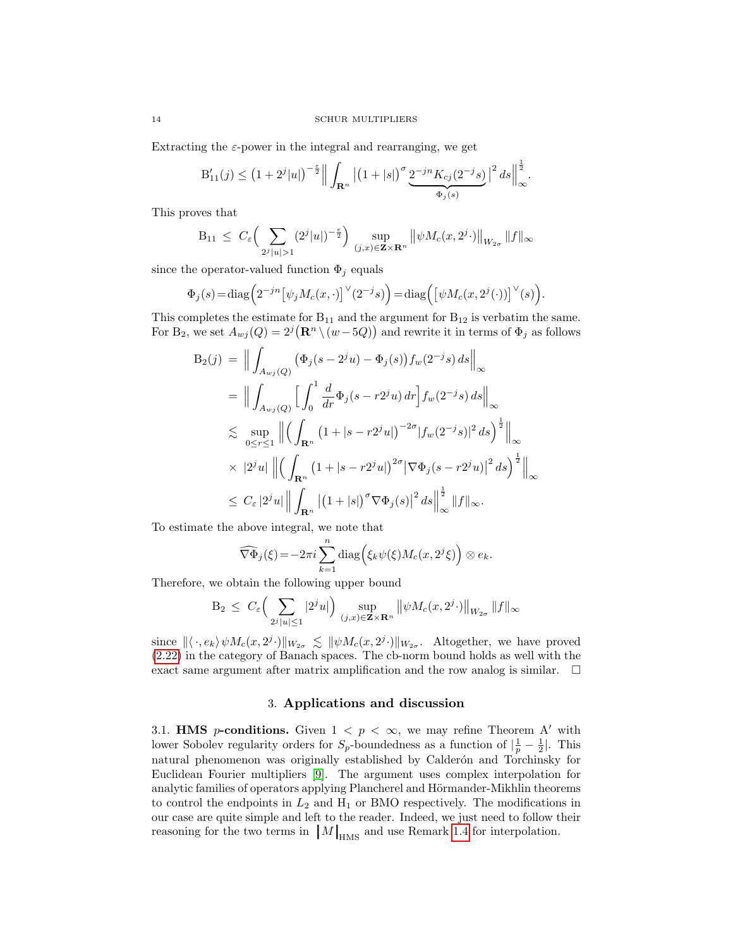Extracting the  $\varepsilon$ -power in the integral and rearranging, we get

$$
\mathbf{B}_{11}'(j) \leq \left(1+2^j|u|\right)^{-\frac{\varepsilon}{2}}\Big\|\int_{\mathbf{R}^n}\big|\big(1+|s|\big)^\sigma\underbrace{2^{-jn}K_{cj}(2^{-j}s)}_{\Phi_j(s)}\big|^2\,ds\Big\|_\infty^{\frac{1}{2}}.
$$

This proves that

$$
B_{11} \leq C_{\varepsilon} \Big( \sum_{2^{j} |u| > 1} (2^{j} |u|)^{-\frac{\varepsilon}{2}} \Big) \sup_{(j,x) \in \mathbf{Z} \times \mathbf{R}^{n}} \big\| \psi M_{c}(x, 2^{j} \cdot) \big\|_{W_{2\sigma}} \|f\|_{\infty}
$$

since the operator-valued function  $\Phi_j$  equals

$$
\Phi_j(s)\!=\!{\rm diag}\Big(2^{-jn}\big[\psi_jM_c(x,\cdot)\big]^{\vee}(2^{-j}s)\Big)\!=\!{\rm diag}\Big(\big[\psi M_c(x,2^j(\cdot))\big]^{\vee}(s)\Big).
$$

This completes the estimate for  $B_{11}$  and the argument for  $B_{12}$  is verbatim the same. For B<sub>2</sub>, we set  $A_{wj}(Q) = 2^j (\mathbf{R}^n \setminus (w - 5Q))$  and rewrite it in terms of  $\Phi_j$  as follows

$$
B_2(j) = \Big\| \int_{A_{wj}(Q)} (\Phi_j(s - 2^j u) - \Phi_j(s)) f_w(2^{-j}s) ds \Big\|_{\infty}
$$
  
\n
$$
= \Big\| \int_{A_{wj}(Q)} \Big[ \int_0^1 \frac{d}{dr} \Phi_j(s - r2^j u) dr \Big] f_w(2^{-j}s) ds \Big\|_{\infty}
$$
  
\n
$$
\lesssim \sup_{0 \le r \le 1} \Big\| \Big( \int_{\mathbf{R}^n} (1 + |s - r2^j u|)^{-2\sigma} |f_w(2^{-j}s)|^2 ds \Big)^{\frac{1}{2}} \Big\|_{\infty}
$$
  
\n
$$
\times |2^j u| \Big\| \Big( \int_{\mathbf{R}^n} (1 + |s - r2^j u|)^{2\sigma} |\nabla \Phi_j(s - r2^j u)|^2 ds \Big)^{\frac{1}{2}} \Big\|_{\infty}
$$
  
\n
$$
\le C_{\varepsilon} |2^j u| \Big\| \int_{\mathbf{R}^n} |(1 + |s|)^{\sigma} \nabla \Phi_j(s)|^2 ds \Big\|_{\infty}^{\frac{1}{2}} \|f\|_{\infty}.
$$

To estimate the above integral, we note that

$$
\widehat{\nabla\Phi}_j(\xi) = -2\pi i \sum_{k=1}^n \text{diag}\Big(\xi_k \psi(\xi) M_c(x, 2^j \xi)\Big) \otimes e_k.
$$

Therefore, we obtain the following upper bound

$$
B_2 \leq C_{\varepsilon} \Big( \sum_{2^j |u| \leq 1} |2^j u| \Big) \sup_{(j,x) \in \mathbf{Z} \times \mathbf{R}^n} \big\| \psi M_c(x, 2^j \cdot) \big\|_{W_{2\sigma}} \|f\|_{\infty}
$$

since  $\langle \langle \cdot, e_k \rangle \psi M_c(x, 2^j \cdot) | \rangle_{W_{2\sigma}} \leq {\langle \psi M_c(x, 2^j \cdot) | \rangle_{W_{2\sigma}}}$ . Altogether, we have proved [\(2.22\)](#page-12-1) in the category of Banach spaces. The cb-norm bound holds as well with the exact same argument after matrix amplification and the row analog is similar.  $\Box$ 

## 3. Applications and discussion

3.1. **HMS** *p*-conditions. Given  $1 < p < \infty$ , we may refine Theorem A' with lower Sobolev regularity orders for  $S_p$ -boundedness as a function of  $\left|\frac{1}{p} - \frac{1}{2}\right|$ . This natural phenomenon was originally established by Calderón and Torchinsky for Euclidean Fourier multipliers [\[9\]](#page-18-24). The argument uses complex interpolation for analytic families of operators applying Plancherel and Hörmander-Mikhlin theorems to control the endpoints in  $L_2$  and  $H_1$  or BMO respectively. The modifications in our case are quite simple and left to the reader. Indeed, we just need to follow their reasoning for the two terms in  $\|M\|_{\text{HMS}}$  and use Remark [1.4](#page-6-1) for interpolation.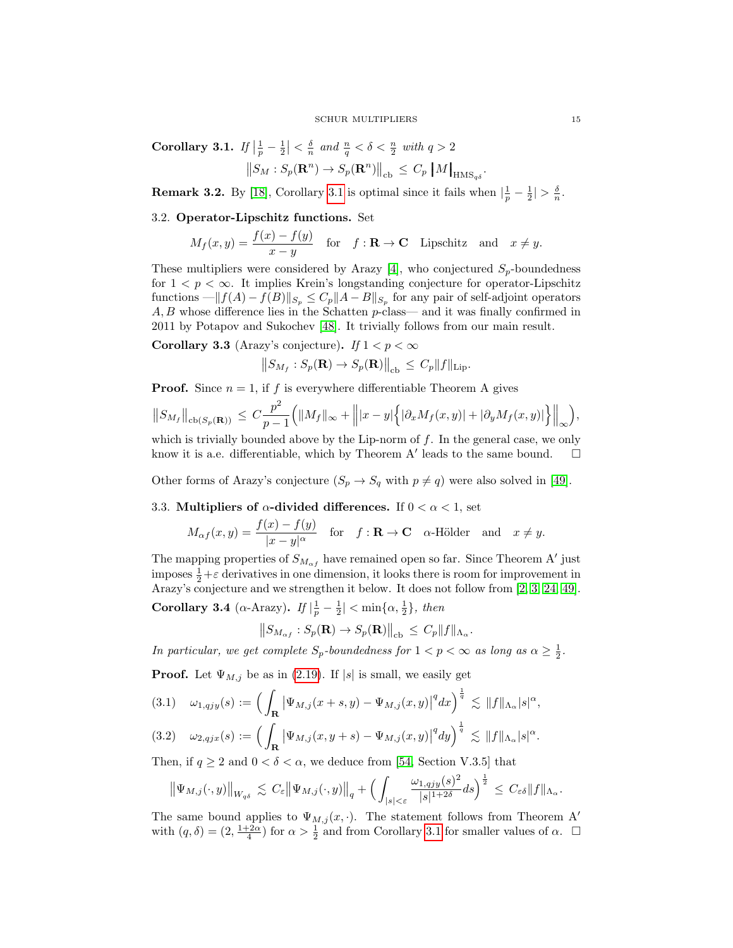<span id="page-14-0"></span>Corollary 3.1. If  $\left|\frac{1}{p} - \frac{1}{2}\right| < \frac{\delta}{n}$  and  $\frac{n}{q} < \delta < \frac{n}{2}$  with  $q > 2$  $||S_M : S_p(\mathbf{R}^n) \to S_p(\mathbf{R}^n)||_{cb} \leq C_p \left\|M\right\|_{\text{HMS}_{q\delta}}.$ 

**Remark 3.2.** By [\[18\]](#page-18-25), Corollary [3.1](#page-14-0) is optimal since it fails when  $\left|\frac{1}{p} - \frac{1}{2}\right| > \frac{\delta}{n}$ .

# 3.2. Operator-Lipschitz functions. Set

$$
M_f(x,y) = \frac{f(x) - f(y)}{x - y} \quad \text{for} \quad f: \mathbf{R} \to \mathbf{C} \quad \text{Lipschitz} \quad \text{and} \quad x \neq y.
$$

These multipliers were considered by Arazy [\[4\]](#page-18-16), who conjectured  $S_p$ -boundedness for  $1 < p < \infty$ . It implies Krein's longstanding conjecture for operator-Lipschitz functions  $-\|f(A) - f(B)\|_{S_p} \leq C_p \|A - B\|_{S_p}$  for any pair of self-adjoint operators  $A, B$  whose difference lies in the Schatten p-class— and it was finally confirmed in 2011 by Potapov and Sukochev [\[48\]](#page-19-5). It trivially follows from our main result.

**Corollary 3.3** (Arazy's conjecture). If  $1 < p < \infty$ 

$$
\left\|S_{M_f}: S_p(\mathbf{R}) \to S_p(\mathbf{R})\right\|_{\text{cb}} \leq C_p \|f\|_{\text{Lip}}.
$$

**Proof.** Since  $n = 1$ , if f is everywhere differentiable Theorem A gives

$$
||S_{M_f}||_{\text{cb}(S_p(\mathbf{R}))} \leq C \frac{p^2}{p-1} \Big( ||M_f||_{\infty} + \Big\| |x-y| \Big\{ |\partial_x M_f(x,y)| + |\partial_y M_f(x,y)| \Big\} \Big\|_{\infty} \Big),
$$

which is trivially bounded above by the Lip-norm of  $f$ . In the general case, we only know it is a.e. differentiable, which by Theorem A' leads to the same bound.  $\square$ 

Other forms of Arazy's conjecture  $(S_p \to S_q \text{ with } p \neq q)$  were also solved in [\[49\]](#page-19-19).

# 3.3. Multipliers of  $\alpha$ -divided differences. If  $0 < \alpha < 1$ , set

$$
M_{\alpha f}(x,y) = \frac{f(x) - f(y)}{|x - y|^{\alpha}} \quad \text{for} \quad f: \mathbf{R} \to \mathbf{C} \quad \alpha \text{-Hölder} \quad \text{and} \quad x \neq y.
$$

The mapping properties of  $S_{M_{\alpha f}}$  have remained open so far. Since Theorem A' just imposes  $\frac{1}{2} + \varepsilon$  derivatives in one dimension, it looks there is room for improvement in Arazy's conjecture and we strengthen it below. It does not follow from [\[2,](#page-18-26) [3,](#page-18-27) [24,](#page-18-28) [49\]](#page-19-19).

Corollary 3.4 ( $\alpha$ -Arazy). If  $\left|\frac{1}{p} - \frac{1}{2}\right| < \min\{\alpha, \frac{1}{2}\}\$ , then

$$
\left\|S_{M_{\alpha f}} : S_p(\mathbf{R}) \to S_p(\mathbf{R})\right\|_{\text{cb}} \leq C_p \|f\|_{\Lambda_\alpha}.
$$

In particular, we get complete  $S_p$ -boundedness for  $1 < p < \infty$  as long as  $\alpha \geq \frac{1}{2}$ .

**Proof.** Let  $\Psi_{M,j}$  be as in [\(2.19\)](#page-12-2). If |s| is small, we easily get

$$
(3.1) \quad \omega_{1,qjy}(s) := \Big( \int_{\mathbf{R}} \big| \Psi_{M,j}(x+s,y) - \Psi_{M,j}(x,y) \big|^q dx \Big)^{\frac{1}{q}} \lesssim \|f\|_{\Lambda_\alpha} |s|^\alpha,
$$

$$
(3.2) \quad \omega_{2,qjx}(s) := \Big(\int_{\mathbf{R}} \big|\Psi_{M,j}(x,y+s)-\Psi_{M,j}(x,y)\big|^q dy\Big)^{\frac{1}{q}} \lesssim \|f\|_{\Lambda_\alpha} |s|^\alpha.
$$

Then, if  $q \ge 2$  and  $0 < \delta < \alpha$ , we deduce from [\[54,](#page-19-20) Section V.3.5] that

$$
\left\|\Psi_{M,j}(\cdot,y)\right\|_{W_{q\delta}}\lesssim C_{\varepsilon}\left\|\Psi_{M,j}(\cdot,y)\right\|_{q}+\left(\int_{|s|<\varepsilon}\frac{\omega_{1,qjy}(s)^{2}}{|s|^{1+2\delta}}ds\right)^{\frac{1}{2}}\leq C_{\varepsilon\delta}\|f\|_{\Lambda_{\alpha}}.
$$

The same bound applies to  $\Psi_{M,j}(x, \cdot)$ . The statement follows from Theorem A' with  $(q, \delta) = (2, \frac{1+2\alpha}{4})$  for  $\alpha > \frac{1}{2}$  and from Corollary [3.1](#page-14-0) for smaller values of  $\alpha$ .  $\Box$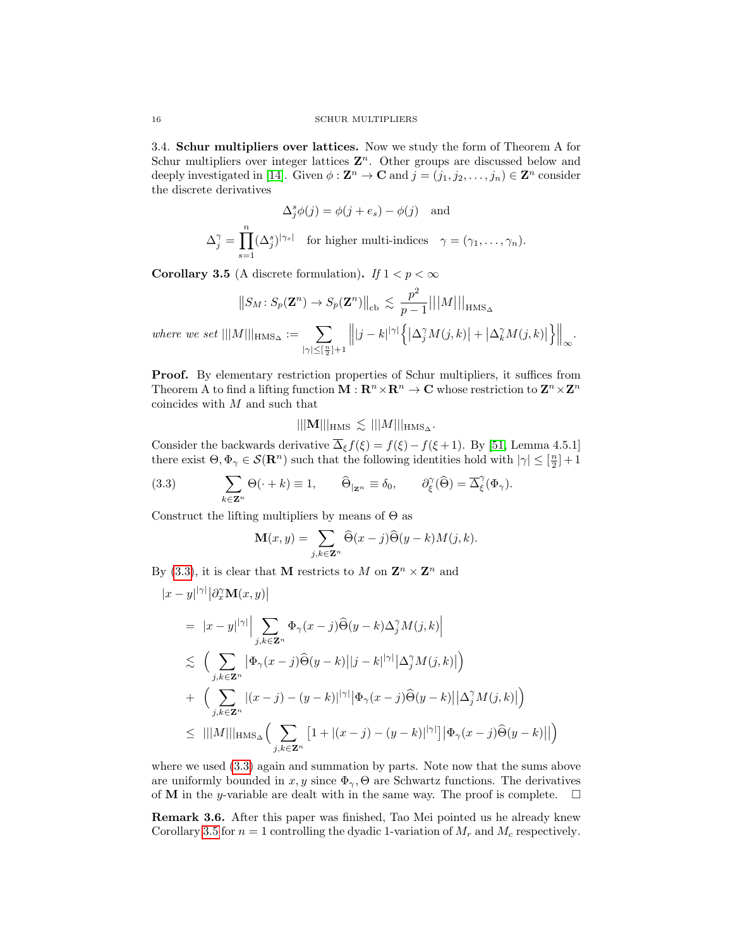3.4. Schur multipliers over lattices. Now we study the form of Theorem A for Schur multipliers over integer lattices  $\mathbf{Z}^n$ . Other groups are discussed below and deeply investigated in [\[14\]](#page-18-19). Given  $\phi : \mathbf{Z}^n \to \mathbf{C}$  and  $j = (j_1, j_2, \dots, j_n) \in \mathbf{Z}^n$  consider the discrete derivatives

$$
\Delta_j^s \phi(j) = \phi(j + e_s) - \phi(j) \quad \text{and}
$$

$$
\Delta_j^{\gamma} = \prod_{s=1}^n (\Delta_j^s)^{|\gamma_s|} \quad \text{for higher multi-indices} \quad \gamma = (\gamma_1, \dots, \gamma_n).
$$

<span id="page-15-1"></span>**Corollary 3.5** (A discrete formulation). If  $1 < p < \infty$ 

$$
||S_M: S_p(\mathbf{Z}^n) \to S_p(\mathbf{Z}^n)||_{cb} \lesssim \frac{p^2}{p-1} |||M|||_{\text{HMS}_{\Delta}}
$$
  
where we set  $|||M|||_{\text{HMS}_{\Delta}} := \sum_{|\gamma| \leq [\frac{n}{2}] + 1} ||j - k|^{|\gamma|} \left\{ |\Delta_j^{\gamma} M(j,k)| + |\Delta_k^{\gamma} M(j,k)| \right\}||_{\infty}.$ 

Proof. By elementary restriction properties of Schur multipliers, it suffices from Theorem A to find a lifting function  $M: \mathbb{R}^n \times \mathbb{R}^n \to \mathbb{C}$  whose restriction to  $\mathbb{Z}^n \times \mathbb{Z}^n$ coincides with M and such that

 $|||{\bf M}|||_{\rm HMS} \lesssim |||M|||_{\rm HMS_{\Delta}}.$ 

Consider the backwards derivative  $\overline{\Delta}_{\xi} f(\xi) = f(\xi) - f(\xi + 1)$ . By [\[51,](#page-19-21) Lemma 4.5.1] there exist  $\Theta, \Phi_{\gamma} \in \mathcal{S}(\mathbf{R}^n)$  such that the following identities hold with  $|\gamma| \leq [\frac{n}{2}] + 1$ 

(3.3) 
$$
\sum_{k \in \mathbf{Z}^n} \Theta(\cdot + k) \equiv 1, \qquad \widehat{\Theta}_{|\mathbf{Z}^n} \equiv \delta_0, \qquad \partial_{\xi}^{\gamma}(\widehat{\Theta}) = \overline{\Delta}_{\xi}^{\gamma}(\Phi_{\gamma}).
$$

Construct the lifting multipliers by means of  $\Theta$  as

<span id="page-15-0"></span>
$$
\mathbf{M}(x,y) = \sum_{j,k \in \mathbf{Z}^n} \widehat{\Theta}(x-j) \widehat{\Theta}(y-k) M(j,k).
$$

By [\(3.3\)](#page-15-0), it is clear that **M** restricts to M on  $\mathbf{Z}^n \times \mathbf{Z}^n$  and

$$
|x - y|^{|\gamma|} |\partial_x^{\gamma} \mathbf{M}(x, y)|
$$
  
\n
$$
= |x - y|^{|\gamma|} \Big| \sum_{j,k \in \mathbf{Z}^n} \Phi_{\gamma}(x - j) \widehat{\Theta}(y - k) \Delta_j^{\gamma} M(j, k) \Big|
$$
  
\n
$$
\lesssim \Big( \sum_{j,k \in \mathbf{Z}^n} |\Phi_{\gamma}(x - j) \widehat{\Theta}(y - k)| |j - k|^{|\gamma|} |\Delta_j^{\gamma} M(j, k)| \Big)
$$
  
\n
$$
+ \Big( \sum_{j,k \in \mathbf{Z}^n} |(x - j) - (y - k)|^{|\gamma|} |\Phi_{\gamma}(x - j) \widehat{\Theta}(y - k)| |\Delta_j^{\gamma} M(j, k)| \Big)
$$
  
\n
$$
\leq |||M|||_{\text{HMS}_{\Delta}} \Big( \sum_{j,k \in \mathbf{Z}^n} [1 + |(x - j) - (y - k)|^{|\gamma|}] |\Phi_{\gamma}(x - j) \widehat{\Theta}(y - k)|| \Big)
$$

where we used [\(3.3\)](#page-15-0) again and summation by parts. Note now that the sums above are uniformly bounded in  $x, y$  since  $\Phi_{\gamma}$ ,  $\Theta$  are Schwartz functions. The derivatives of **M** in the y-variable are dealt with in the same way. The proof is complete.  $\Box$ 

Remark 3.6. After this paper was finished, Tao Mei pointed us he already knew Corollary [3.5](#page-15-1) for  $n = 1$  controlling the dyadic 1-variation of  $M_r$  and  $M_c$  respectively.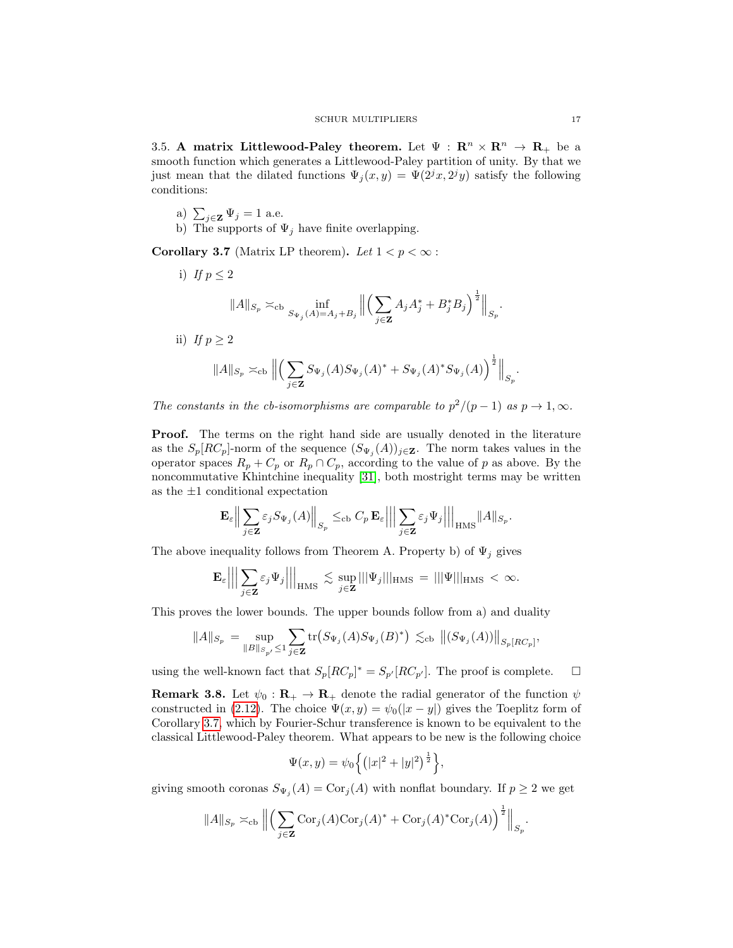3.5. A matrix Littlewood-Paley theorem. Let  $\Psi : \mathbb{R}^n \times \mathbb{R}^n \to \mathbb{R}_+$  be a smooth function which generates a Littlewood-Paley partition of unity. By that we just mean that the dilated functions  $\Psi_j(x, y) = \Psi(2^j x, 2^j y)$  satisfy the following conditions:

- a)  $\sum_{j\in \mathbf{Z}} \Psi_j = 1$  a.e.
- b) The supports of  $\Psi_j$  have finite overlapping.

<span id="page-16-0"></span>Corollary 3.7 (Matrix LP theorem). Let  $1 < p < \infty$ :

i) If  $p \leq 2$  $||A||_{S_p} \asymp_{\text{cb}} \inf_{S_{\Psi_j}(A)=A_j+B_j}$  $\begin{array}{c} \hline \end{array}$  $(\nabla)$ j∈Z  $A_j A_j^* + B_j^* B_j \Big)^{\frac{1}{2}} \Big\|_{S_p}.$ ii) If  $p \geq 2$ 

$$
||A||_{S_p} \asymp_{\text{cb}} \left\| \left( \sum_{j \in \mathbf{Z}} S_{\Psi_j}(A) S_{\Psi_j}(A)^* + S_{\Psi_j}(A)^* S_{\Psi_j}(A) \right)^{\frac{1}{2}} \right\|_{S_p}
$$

The constants in the cb-isomorphisms are comparable to  $p^2/(p-1)$  as  $p \to 1, \infty$ .

Proof. The terms on the right hand side are usually denoted in the literature as the  $S_p[RC_p]$ -norm of the sequence  $(S_{\Psi_j}(A))_{j\in\mathbf{Z}}$ . The norm takes values in the operator spaces  $R_p + C_p$  or  $R_p \cap C_p$ , according to the value of p as above. By the noncommutative Khintchine inequality [\[31\]](#page-19-22), both mostright terms may be written as the  $\pm 1$  conditional expectation

$$
\mathbf{E}_{\varepsilon} \Big\| \sum_{j \in \mathbf{Z}} \varepsilon_j S_{\Psi_j}(A) \Big\|_{S_p} \le_{\text{cb}} C_p \mathbf{E}_{\varepsilon} \Big|\Big|\Big| \sum_{j \in \mathbf{Z}} \varepsilon_j \Psi_j \Big|\Big|\Big|_{\text{HMS}} \|A\|_{S_p}.
$$

The above inequality follows from Theorem A. Property b) of  $\Psi_i$  gives

$$
\mathbf{E}_{\varepsilon} \Big|\Big|\Big|\sum_{j\in \mathbf{Z}}\varepsilon_j \Psi_j\Big|\Big|\Big|_{\mathrm{HMS}} \lesssim \sup_{j\in \mathbf{Z}}|||\Psi_j|||_{\mathrm{HMS}} = |||\Psi|||_{\mathrm{HMS}} < \infty.
$$

This proves the lower bounds. The upper bounds follow from a) and duality

$$
||A||_{S_p} = \sup_{||B||_{S_{p'}} \le 1} \sum_{j \in \mathbf{Z}} tr(S_{\Psi_j}(A)S_{\Psi_j}(B)^*) \lesssim_{\text{cb}} ||(S_{\Psi_j}(A))||_{S_p[RC_p]},
$$

using the well-known fact that  $S_p[RC_p]^* = S_{p'}[RC_{p'}]$ . The proof is complete.  $\square$ 

**Remark 3.8.** Let  $\psi_0 : \mathbf{R}_+ \to \mathbf{R}_+$  denote the radial generator of the function  $\psi$ constructed in [\(2.12\)](#page-9-3). The choice  $\Psi(x, y) = \psi_0(|x - y|)$  gives the Toeplitz form of Corollary [3.7,](#page-16-0) which by Fourier-Schur transference is known to be equivalent to the classical Littlewood-Paley theorem. What appears to be new is the following choice

$$
\Psi(x, y) = \psi_0 \left\{ \left( |x|^2 + |y|^2 \right)^{\frac{1}{2}} \right\},\
$$

giving smooth coronas  $S_{\Psi_j}(A) = \text{Cor}_j(A)$  with nonflat boundary. If  $p \geq 2$  we get

$$
||A||_{S_p} \asymp_{\mathrm{cb}} \left\| \left( \sum_{j \in \mathbf{Z}} \mathrm{Cor}_j(A) \mathrm{Cor}_j(A)^* + \mathrm{Cor}_j(A)^* \mathrm{Cor}_j(A) \right)^{\frac{1}{2}} \right\|_{S_p}.
$$

.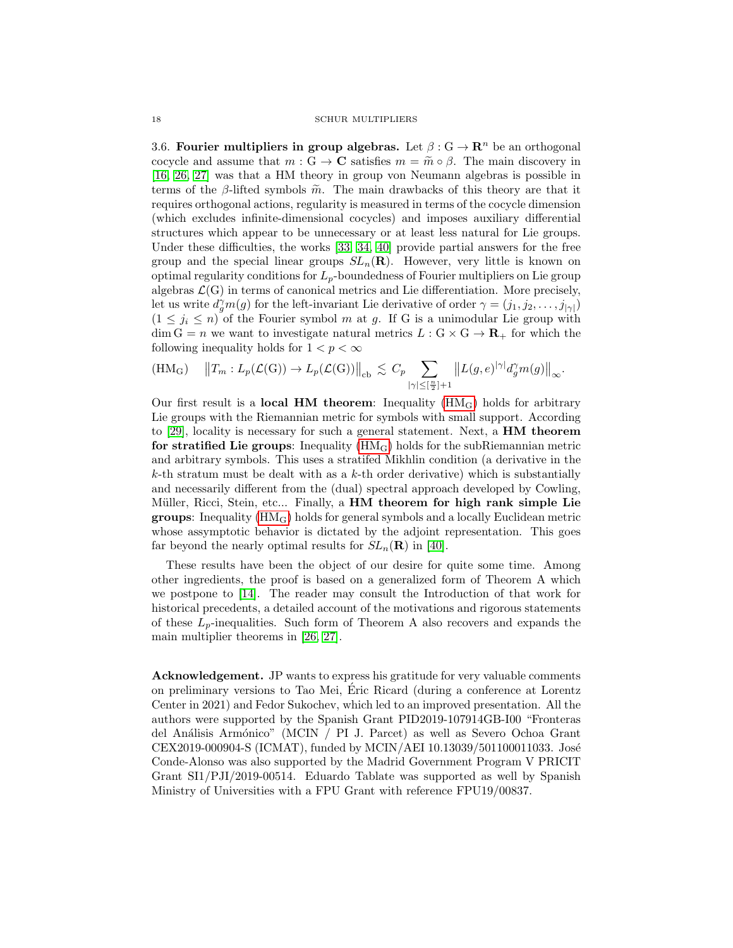3.6. Fourier multipliers in group algebras. Let  $\beta: G \to \mathbb{R}^n$  be an orthogonal cocycle and assume that  $m : G \to \mathbf{C}$  satisfies  $m = \tilde{m} \circ \beta$ . The main discovery in [\[16,](#page-18-5) [26,](#page-18-6) [27\]](#page-18-7) was that a HM theory in group von Neumann algebras is possible in terms of the  $\beta$ -lifted symbols  $\tilde{m}$ . The main drawbacks of this theory are that it requires orthogonal actions, regularity is measured in terms of the cocycle dimension (which excludes infinite-dimensional cocycles) and imposes auxiliary differential structures which appear to be unnecessary or at least less natural for Lie groups. Under these difficulties, the works [\[33,](#page-19-1) [34,](#page-19-2) [40\]](#page-19-3) provide partial answers for the free group and the special linear groups  $SL_n(\mathbf{R})$ . However, very little is known on optimal regularity conditions for  $L_p$ -boundedness of Fourier multipliers on Lie group algebras  $\mathcal{L}(G)$  in terms of canonical metrics and Lie differentiation. More precisely, let us write  $d_g^{\gamma}m(g)$  for the left-invariant Lie derivative of order  $\gamma = (j_1, j_2, \ldots, j_{|\gamma|})$  $(1 \leq j_i \leq n)$  of the Fourier symbol m at g. If G is a unimodular Lie group with  $\dim G = n$  we want to investigate natural metrics  $L : G \times G \to \mathbf{R}_{+}$  for which the following inequality holds for  $1 < p < \infty$ 

<span id="page-17-0"></span>
$$
(\mathrm{HM}_{\mathrm{G}}) \quad ||T_m: L_p(\mathcal{L}(\mathrm{G})) \to L_p(\mathcal{L}(\mathrm{G}))||_{\mathrm{cb}} \lesssim C_p \sum_{|\gamma| \leq [\frac{n}{2}] + 1} ||L(g, e)^{|\gamma|} d_g^{\gamma} m(g)||_{\infty}.
$$

Our first result is a **local HM theorem**: Inequality  $(HM_G)$  holds for arbitrary Lie groups with the Riemannian metric for symbols with small support. According to [\[29\]](#page-18-4), locality is necessary for such a general statement. Next, a HM theorem for stratified Lie groups: Inequality  $(HM_G)$  holds for the subRiemannian metric and arbitrary symbols. This uses a stratifed Mikhlin condition (a derivative in the  $k$ -th stratum must be dealt with as a  $k$ -th order derivative) which is substantially and necessarily different from the (dual) spectral approach developed by Cowling, Müller, Ricci, Stein, etc... Finally, a HM theorem for high rank simple Lie **groups**: Inequality  $(HM_G)$  holds for general symbols and a locally Euclidean metric whose assymptotic behavior is dictated by the adjoint representation. This goes far beyond the nearly optimal results for  $SL_n(\mathbf{R})$  in [\[40\]](#page-19-3).

These results have been the object of our desire for quite some time. Among other ingredients, the proof is based on a generalized form of Theorem A which we postpone to [\[14\]](#page-18-19). The reader may consult the Introduction of that work for historical precedents, a detailed account of the motivations and rigorous statements of these  $L_p$ -inequalities. Such form of Theorem A also recovers and expands the main multiplier theorems in [\[26,](#page-18-6) [27\]](#page-18-7).

Acknowledgement. JP wants to express his gratitude for very valuable comments on preliminary versions to Tao Mei, Eric Ricard (during a conference at Lorentz ´ Center in 2021) and Fedor Sukochev, which led to an improved presentation. All the authors were supported by the Spanish Grant PID2019-107914GB-I00 "Fronteras del Análisis Armónico" (MCIN / PI J. Parcet) as well as Severo Ochoa Grant CEX2019-000904-S (ICMAT), funded by MCIN/AEI 10.13039/501100011033. José Conde-Alonso was also supported by the Madrid Government Program V PRICIT Grant SI1/PJI/2019-00514. Eduardo Tablate was supported as well by Spanish Ministry of Universities with a FPU Grant with reference FPU19/00837.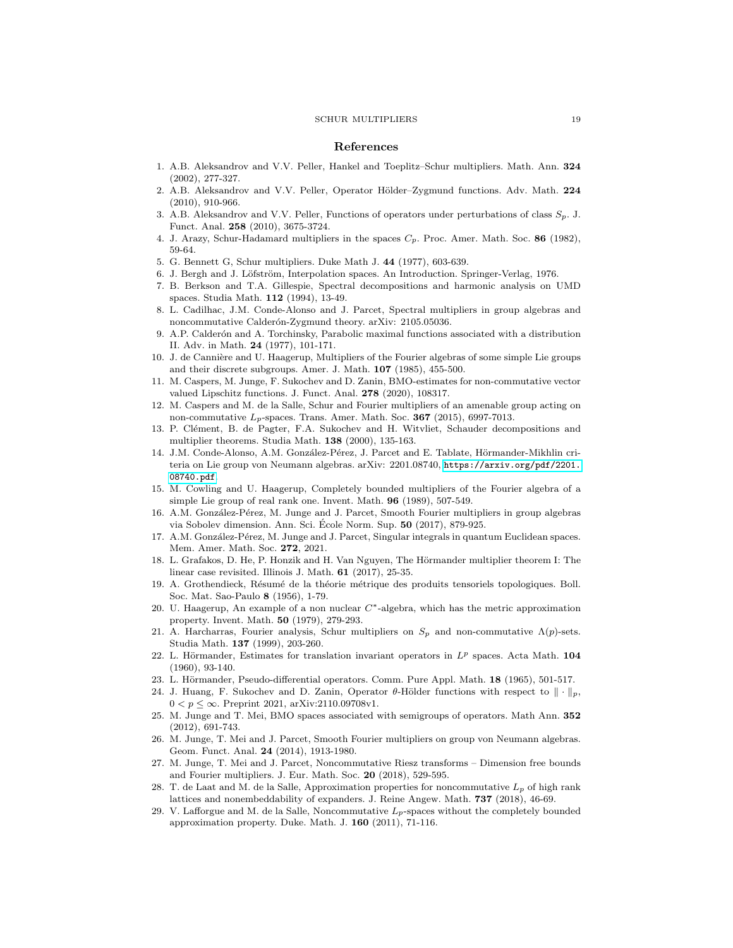#### References

- <span id="page-18-12"></span>1. A.B. Aleksandrov and V.V. Peller, Hankel and Toeplitz–Schur multipliers. Math. Ann. 324 (2002), 277-327.
- <span id="page-18-26"></span>2. A.B. Aleksandrov and V.V. Peller, Operator Hölder–Zygmund functions. Adv. Math. 224 (2010), 910-966.
- <span id="page-18-27"></span>3. A.B. Aleksandrov and V.V. Peller, Functions of operators under perturbations of class  $S_p$ . J. Funct. Anal. 258 (2010), 3675-3724.
- <span id="page-18-16"></span>4. J. Arazy, Schur-Hadamard multipliers in the spaces  $C_p$ . Proc. Amer. Math. Soc. 86 (1982), 59-64.
- <span id="page-18-11"></span>5. G. Bennett G, Schur multipliers. Duke Math J. 44 (1977), 603-639.
- <span id="page-18-20"></span>6. J. Bergh and J. Löfström, Interpolation spaces. An Introduction. Springer-Verlag, 1976.
- <span id="page-18-13"></span>7. B. Berkson and T.A. Gillespie, Spectral decompositions and harmonic analysis on UMD spaces. Studia Math. 112 (1994), 13-49.
- <span id="page-18-23"></span>8. L. Cadilhac, J.M. Conde-Alonso and J. Parcet, Spectral multipliers in group algebras and noncommutative Calderón-Zygmund theory. arXiv: 2105.05036.
- <span id="page-18-24"></span>9. A.P. Calder´on and A. Torchinsky, Parabolic maximal functions associated with a distribution II. Adv. in Math. 24 (1977), 101-171.
- <span id="page-18-2"></span>10. J. de Cannière and U. Haagerup, Multipliers of the Fourier algebras of some simple Lie groups and their discrete subgroups. Amer. J. Math. 107 (1985), 455-500.
- <span id="page-18-22"></span>11. M. Caspers, M. Junge, F. Sukochev and D. Zanin, BMO-estimates for non-commutative vector valued Lipschitz functions. J. Funct. Anal. 278 (2020), 108317.
- <span id="page-18-9"></span>12. M. Caspers and M. de la Salle, Schur and Fourier multipliers of an amenable group acting on non-commutative  $L_p$ -spaces. Trans. Amer. Math. Soc. 367 (2015), 6997-7013.
- <span id="page-18-14"></span>13. P. Clément, B. de Pagter, F.A. Sukochev and H. Witvliet, Schauder decompositions and multiplier theorems. Studia Math. 138 (2000), 135-163.
- <span id="page-18-19"></span>14. J.M. Conde-Alonso, A.M. González-Pérez, J. Parcet and E. Tablate, Hörmander-Mikhlin criteria on Lie group von Neumann algebras. arXiv: 2201.08740, [https://arxiv.org/pdf/2201.](https://arxiv.org/pdf/2201.08740.pdf) [08740.pdf](https://arxiv.org/pdf/2201.08740.pdf).
- <span id="page-18-3"></span>15. M. Cowling and U. Haagerup, Completely bounded multipliers of the Fourier algebra of a simple Lie group of real rank one. Invent. Math. 96 (1989), 507-549.
- <span id="page-18-5"></span>16. A.M. González-Pérez, M. Junge and J. Parcet, Smooth Fourier multipliers in group algebras via Sobolev dimension. Ann. Sci. École Norm. Sup.  $50$   $(2017)$ , 879-925.
- <span id="page-18-18"></span>17. A.M. González-Pérez, M. Junge and J. Parcet, Singular integrals in quantum Euclidean spaces. Mem. Amer. Math. Soc. 272, 2021.
- <span id="page-18-25"></span>18. L. Grafakos, D. He, P. Honzik and H. Van Nguyen, The Hörmander multiplier theorem I: The linear case revisited. Illinois J. Math. 61 (2017), 25-35.
- <span id="page-18-0"></span>19. A. Grothendieck, Résumé de la théorie métrique des produits tensoriels topologiques. Boll. Soc. Mat. Sao-Paulo 8 (1956), 1-79.
- <span id="page-18-1"></span>20. U. Haagerup, An example of a non nuclear C∗-algebra, which has the metric approximation property. Invent. Math. 50 (1979), 279-293.
- <span id="page-18-15"></span>21. A. Harcharras, Fourier analysis, Schur multipliers on  $S_p$  and non-commutative  $\Lambda(p)$ -sets. Studia Math. 137 (1999), 203-260.
- <span id="page-18-10"></span>22. L. Hörmander, Estimates for translation invariant operators in  $L^p$  spaces. Acta Math. 104 (1960), 93-140.
- <span id="page-18-17"></span>23. L. Hörmander, Pseudo-differential operators. Comm. Pure Appl. Math. 18 (1965), 501-517.
- <span id="page-18-28"></span>24. J. Huang, F. Sukochev and D. Zanin, Operator  $\theta$ -Hölder functions with respect to  $\|\cdot\|_p$ ,  $0 < p \leq \infty$ . Preprint 2021, arXiv:2110.09708v1.
- <span id="page-18-21"></span>25. M. Junge and T. Mei, BMO spaces associated with semigroups of operators. Math Ann. 352 (2012), 691-743.
- <span id="page-18-6"></span>26. M. Junge, T. Mei and J. Parcet, Smooth Fourier multipliers on group von Neumann algebras. Geom. Funct. Anal. 24 (2014), 1913-1980.
- <span id="page-18-7"></span>27. M. Junge, T. Mei and J. Parcet, Noncommutative Riesz transforms – Dimension free bounds and Fourier multipliers. J. Eur. Math. Soc. 20 (2018), 529-595.
- <span id="page-18-8"></span>28. T. de Laat and M. de la Salle, Approximation properties for noncommutative  $L_p$  of high rank lattices and nonembeddability of expanders. J. Reine Angew. Math. 737 (2018), 46-69.
- <span id="page-18-4"></span>29. V. Lafforgue and M. de la Salle, Noncommutative  $L_p$ -spaces without the completely bounded approximation property. Duke. Math. J. 160 (2011), 71-116.